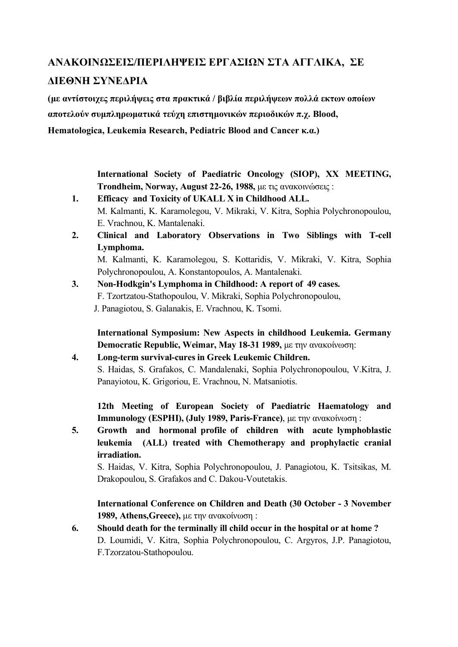# **ΑΝΑΚΟΙΝΩΣΕΙΣ/ΠΕΡΙΛΗΨΕΙΣ ΕΡΓΑΣΙΩΝ ΣΤΑ ΑΓΓΛΙΚΑ, ΣΕ ΔΙΕΘΝΗ ΣΥΝΕΔΡΙΑ**

**(µε αντίστοιχες περιλήψεις στα πρακτικά / βιβλία περιλήψεων πολλά εκτων οποίων αποτελούν συµπληρωµατικά τεύχη επιστηµονικών περιοδικών π.χ. Blood, Hematologica, Leukemia Research, Pediatric Blood and Cancer κ.α.)** 

> **International Society of Paediatric Oncology (SIOP), XX MEETING, Trondheim, Norway, August 22-26, 1988,** µε τις ανακοινώσεις :

- **1. Efficacy and Toxicity of UKALL X in Childhood ALL.** M. Kalmanti, K. Karamolegou, V. Mikraki, V. Kitra, Sophia Polychronopoulou, E. Vrachnou, K. Mantalenaki.
- **2. Clinical and Laboratory Observations in Two Siblings with T-cell Lymphoma.** M. Kalmanti, K. Karamolegou, S. Kottaridis, V. Mikraki, V. Kitra, Sophia

Polychronopoulou, A. Konstantopoulos, A. Mantalenaki.

**3. Non-Hodkgin's Lymphoma in Childhood: A report of 49 cases.** F. Tzortzatou-Stathopoulou, V. Mikraki, Sophia Polychronopoulou, J. Panagiotou, S. Galanakis, E. Vrachnou, K. Tsomi.

 **International Symposium: New Aspects in childhood Leukemia. Germany Democratic Republic, Weimar, May 18-31 1989,** µε την ανακοίνωση:

**4. Long-term survival-cures in Greek Leukemic Children.** S. Haidas, S. Grafakos, C. Mandalenaki, Sophia Polychronopoulou, V.Kitra, J. Panayiotou, K. Grigoriou, E. Vrachnou, N. Matsaniotis.

**12th Meeting of European Society of Paediatric Haematology and Immunology (ESPHI), (July 1989, Paris-France)**, µε την ανακοίνωση :

**5. Growth and hormonal profile of children with acute lymphoblastic leukemia (ALL) treated with Chemotherapy and prophylactic cranial irradiation.**

S. Haidas, V. Kitra, Sophia Polychronopoulou, J. Panagiotou, K. Tsitsikas, M. Drakopoulou, S. Grafakos and C. Dakou-Voutetakis.

**International Conference on Children and Death (30 October - 3 November 1989, Athens,Greece),** µε την ανακοίνωση :

**6. Should death for the terminally ill child occur in the hospital or at home ?** D. Loumidi, V. Kitra, Sophia Polychronopoulou, C. Argyros, J.P. Panagiotou, F.Tzorzatou-Stathopoulou.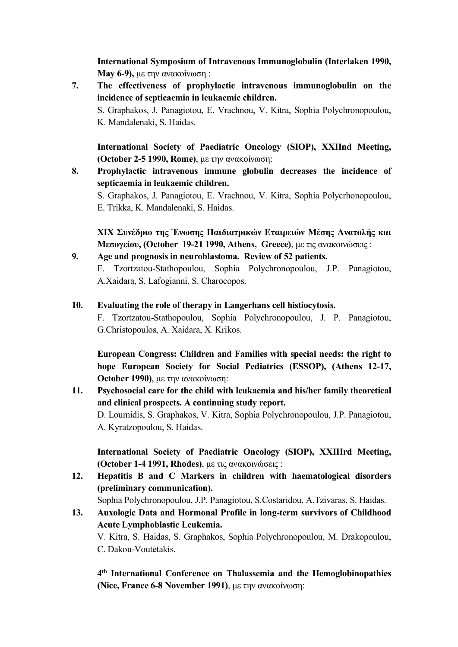**International Symposium of Intravenous Immunoglobulin (Interlaken 1990, May 6-9),** µε την ανακοίνωση :

**7. The effectiveness of prophylactic intravenous immunoglobulin on the incidence of septicaemia in leukaemic children.** S. Graphakos, J. Panagiotou, E. Vrachnou, V. Kitra, Sophia Polychronopoulou, K. Mandalenaki, S. Haidas.

**International Society of Paediatric Oncology (SIOP), XXIInd Meeting, (October 2-5 1990, Rome)**, µε την ανακοίνωση:

- **8. Prophylactic intravenous immune globulin decreases the incidence of septicaemia in leukaemic children.** S. Graphakos, J. Panagiotou, E. Vrachnou, V. Kitra, Sophia Polycrhonopoulou,
	- E. Trikka, K. Mandalenaki, S. Haidas.

**XIX Συνέδριο της Ένωσης Παιδιατρικών Εταιρειών Μέσης Ανατολής και Μεσογείου, (October 19-21 1990, Athens, Greece)**, µε τις ανακοινώσεις :

- **9. Age and prognosis in neuroblastoma. Review of 52 patients.** F. Tzortzatou-Stathopoulou, Sophia Polychronopoulou, J.P. Panagiotou, A.Xaidara, S. Lafogianni, S. Charocopos.
- **10. Evaluating the role of therapy in Langerhans cell histiocytosis.**

F. Tzortzatou-Stathopoulou, Sophia Polychronopoulou, J. P. Panagiotou, G.Christopoulos, A. Xaidara, X. Krikos.

**European Congress: Children and Families with special needs: the right to hope European Society for Social Pediatrics (ESSOP), (Athens 12-17, October 1990)**, µε την ανακοίνωση:

**11. Psychosocial care for the child with leukaemia and his/her family theoretical and clinical prospects. A continuing study report.** D. Loumidis, S. Graphakos, V. Kitra, Sophia Polychronopoulou, J.P. Panagiotou, A. Kyratzopoulou, S. Haidas.

**International Society of Paediatric Oncology (SIOP), XXIIIrd Μeeting, (October 1-4 1991, Rhodes)**, µε τις ανακοινώσεις :

**12. Hepatitis B and C Markers in children with haematological disorders (preliminary communication).**

Sophia Polychronopoulou, J.P. Panagiotou, S.Costaridou, A.Tzivaras, S. Haidas.

**13. Auxologic Data and Hormonal Profile in long-term survivors of Childhood Acute Lymphoblastic Leukemia.**

V. Kitra, S. Haidas, S. Graphakos, Sophia Polychronopoulou, M. Drakopoulou, C. Dakou-Voutetakis.

**4th International Conference on Thalassemia and the Hemoglobinopathies (Nice, France 6-8 November 1991)**, µε την ανακοίνωση: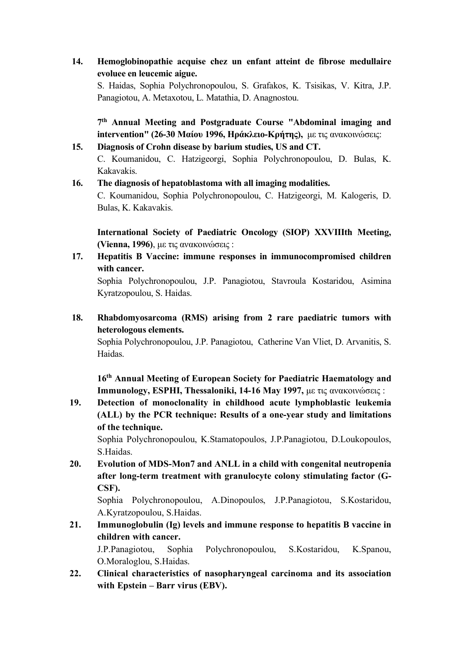**14. Hemoglobinopathie acquise chez un enfant atteint de fibrose medullaire evoluee en leucemic aigue.**

S. Haidas, Sophia Polychronopoulou, S. Grafakos, K. Tsisikas, V. Kitra, J.P. Panagiotou, A. Metaxotou, L. Matathia, D. Anagnostou.

**7th Annual Meeting and Postgraduate Course "Abdominal imaging and intervention" (26-30 Μαίου 1996, Ηράκλειο-Κρήτης),** µε τις ανακοινώσεις:

#### **15. Diagnosis of Crohn disease by barium studies, US and CT.**

C. Koumanidou, C. Hatzigeorgi, Sophia Polychronopoulou, D. Bulas, K. Kakavakis.

#### **16. The diagnosis of hepatoblastoma with all imaging modalities.**

C. Koumanidou, Sophia Polychronopoulou, C. Hatzigeorgi, M. Kalogeris, D. Bulas, K. Kakavakis.

**International Society of Paediatric Oncology (SIOP) XXVIIIth Meeting, (Vienna, 1996)**, µε τις ανακοινώσεις :

**17. Hepatitis B Vaccine: immune responses in immunocompromised children with cancer.**

Sophia Polychronopoulou, J.P. Panagiotou, Stavroula Kostaridou, Asimina Kyratzopoulou, S. Haidas.

**18. Rhabdomyosarcoma (RMS) arising from 2 rare paediatric tumors with heterologous elements.**

Sophia Polychronopoulou, J.P. Panagiotou, Catherine Van Vliet, D. Arvanitis, S. Haidas.

**16th Annual Meeting of European Society for Paediatric Haematology and Immunology, ESPHI, Thessaloniki, 14-16 May 1997,** µε τις ανακοινώσεις :

**19. Detection of monoclonality in childhood acute lymphoblastic leukemia (ALL) by the PCR technique: Results of a one-year study and limitations of the technique.** 

Sophia Polychronopoulou, K.Stamatopoulos, J.P.Panagiotou, D.Loukopoulos, S.Haidas.

**20. Evolution of MDS-Mon7 and ANLL in a child with congenital neutropenia after long-term treatment with granulocyte colony stimulating factor (G-CSF).** 

Sophia Polychronopoulou, A.Dinopoulos, J.P.Panagiotou, S.Kostaridou, A.Kyratzopoulou, S.Haidas.

**21. Immunoglobulin (Ig) levels and immune response to hepatitis B vaccine in children with cancer.**  J.P.Panagiotou, Sophia Polychronopoulou, S.Kostaridou, K.Spanou,

O.Moraloglou, S.Haidas.

**22. Clinical characteristics of nasopharyngeal carcinoma and its association with Epstein – Barr virus (EBV).**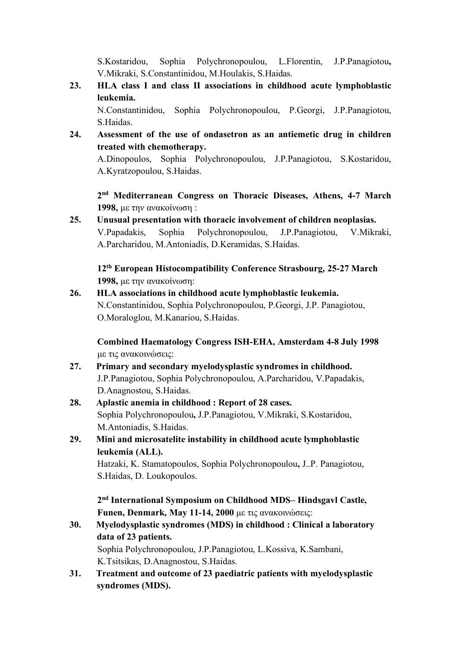S.Kostaridou, Sophia Polychronopoulou, L.Florentin, J.P.Panagiotou**,**  V.Mikraki, S.Constantinidou, M.Houlakis, S.Haidas.

**23. HLA class I and class II associations in childhood acute lymphoblastic leukemia.**

N.Constantinidou, Sophia Polychronopoulou, P.Georgi, J.P.Panagiotou, S.Haidas.

**24. Assessment of the use of ondasetron as an antiemetic drug in children treated with chemotherapy.** 

A.Dinopoulos, Sophia Polychronopoulou, J.P.Panagiotou, S.Kostaridou, A.Kyratzopoulou, S.Haidas.

**2nd Mediterranean Congress on Thoracic Diseases, Athens, 4-7 March 1998,** µε την ανακοίνωση :

**25. Unusual presentation with thoracic involvement of children neoplasias.** V.Papadakis, Sophia Polychronopoulou, J.P.Panagiotou, V.Mikraki, A.Parcharidou, M.Antoniadis, D.Keramidas, S.Haidas.

**12th European Histocompatibility Conference Strasbourg, 25-27 March 1998,** µε την ανακοίνωση:

**26. HLA associations in childhood acute lymphoblastic leukemia.** N.Constantinidou, Sophia Polychronopoulou, P.Georgi, J.P. Panagiotou, O.Moraloglou, M.Kanariou, S.Haidas.

**Combined Haematology Congress ISH-EHA, Amsterdam 4-8 July 1998**  µε τις ανακοινώσεις:

- **27. Primary and secondary myelodysplastic syndromes in childhood.**  J.P.Panagiotou, Sophia Polychronopoulou, A.Parcharidou, V.Papadakis, D.Anagnostou, S.Haidas.
- **28. Aplastic anemia in childhood : Report of 28 cases.**  Sophia Polychronopoulou**,** J.P.Panagiotou, V.Mikraki, S.Kostaridou, M.Antoniadis, S.Haidas.
- **29. Mini and microsatelite instability in childhood acute lymphoblastic leukemia (ALL).**

Hatzaki, K. Stamatopoulos, Sophia Polychronopoulou**,** J..P. Panagiotou, S.Haidas, D. Loukopoulos.

**2nd International Symposium on Childhood MDS– Hindsgavl Castle, Funen, Denmark, May 11-14, 2000** µε τις ανακοινώσεις:

- **30. Myelodysplastic syndromes (MDS) in childhood : Clinical a laboratory data of 23 patients.** Sophia Polychronopoulou, J.P.Panagiotou, L.Kossiva, K.Sambani, K.Tsitsikas, D.Anagnostou, S.Haidas.
- **31. Treatment and outcome of 23 paediatric patients with myelodysplastic syndromes (MDS).**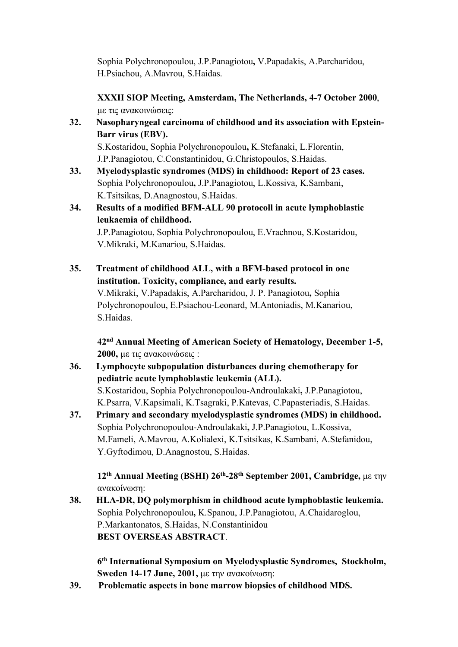Sophia Polychronopoulou, J.P.Panagiotou**,** V.Papadakis, A.Parcharidou, H.Psiachou, A.Mavrou, S.Haidas.

**XXXII SIOP Meeting, Amsterdam, The Netherlands, 4-7 October 2000**, µε τις ανακοινώσεις:

**32. Nasopharyngeal carcinoma of childhood and its association with Epstein-Barr virus (EBV).** 

S.Kostaridou, Sophia Polychronopoulou**,** K.Stefanaki, L.Florentin, J.P.Panagiotou, C.Constantinidou, G.Christopoulos, S.Haidas.

- **33. Myelodysplastic syndromes (MDS) in childhood: Report of 23 cases.**  Sophia Polychronopoulou**,** J.P.Panagiotou, L.Kossiva, K.Sambani, K.Tsitsikas, D.Anagnostou, S.Haidas.
- **34. Results of a modified BFM-ALL 90 protocoll in acute lymphoblastic leukaemia of childhood.**

J.P.Panagiotou, Sophia Polychronopoulou, E.Vrachnou, S.Kostaridou, V.Mikraki, M.Kanariou, S.Haidas.

**35. Treatment of childhood ALL, with a ΒFM-based protocol in one institution. Toxicity, compliance, and early results.**  V.Mikraki, V.Papadakis, A.Parcharidou, J. P. Panagiotou**,** Sophia Polychronopoulou, E.Psiachou-Leonard, M.Antoniadis, M.Kanariou, S.Haidas.

**42nd Annual Meeting of American Society of Hematology, December 1-5, 2000,** µε τις ανακοινώσεις :

- **36. Lymphocyte subpopulation disturbances during chemotherapy for pediatric acute lymphoblastic leukemia (ALL).** S.Kostaridou, Sophia Polychronopoulou-Androulakaki**,** J.P.Panagiotou, K.Psarra, V.Kapsimali, K.Tsagraki, P.Katevas, C.Papasteriadis, S.Haidas.
- **37. Primary and secondary myelodysplastic syndromes (MDS) in childhood.** Sophia Polychronopoulou-Androulakaki**,** J.P.Panagiotou, L.Kossiva, M.Fameli, A.Mavrou, A.Kolialexi, K.Tsitsikas, K.Sambani, A.Stefanidou, Y.Gyftodimou, D.Anagnostou, S.Haidas.

**12th Annual Meeting (BSHI) 26th-28th September 2001, Cambridge,** µε την ανακοίνωση:

**38. HLA-DR, DQ polymorphism in childhood acute lymphoblastic leukemia.** Sophia Polychronopoulou**,** K.Spanou, J.P.Panagiotou, A.Chaidaroglou, P.Markantonatos, S.Haidas, N.Constantinidou **BEST OVERSEAS ABSTRACT**.

**6th International Symposium on Myelodysplastic Syndromes, Stockholm, Sweden 14-17 June, 2001,** µε την ανακοίνωση:

**39. Problematic aspects in bone marrow biopsies of childhood MDS.**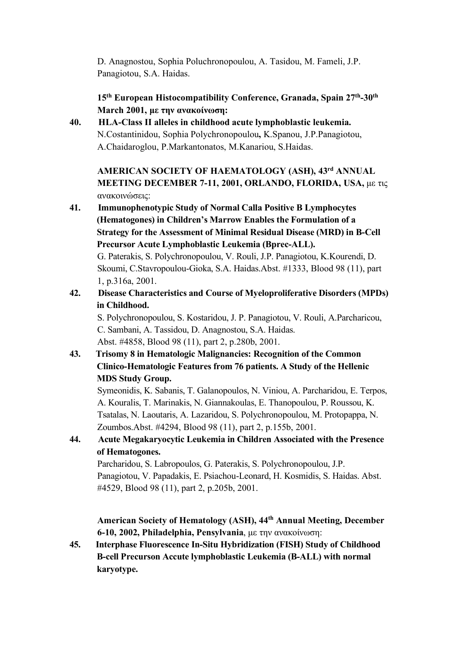D. Anagnostou, Sophia Poluchronopoulou, A. Tasidou, M. Fameli, J.P. Panagiotou, S.A. Haidas.

**15th European Histocompatibility Conference, Granada, Spain 27th-30th March 2001, µε την ανακοίνωση:**

**40. HLA-Class II alleles in childhood acute lymphoblastic leukemia.** N.Costantinidou, Sophia Polychronopoulou**,** K.Spanou, J.P.Panagiotou, A.Chaidaroglou, P.Markantonatos, M.Kanariou, S.Haidas.

**AMERICAN SOCIETY OF HAEMATOLOGY (ASH), 43rd ANNUAL MEETING DECEMBER 7-11, 2001, ORLANDO, FLORIDA, USA, με τις** ανακοινώσεις:

**41. Immunophenotypic Study of Normal Calla Positive B Lymphocytes (Hematogones) in Children's Marrow Enables the Formulation of a Strategy for the Assessment of Minimal Residual Disease (MRD) in B-Cell Precursor Acute Lymphoblastic Leukemia (Bprec-ALL).** G. Paterakis, S. Polychronopoulou, V. Rouli, J.P. Panagiotou, K.Kourendi, D. Skoumi, C.Stavropoulou-Gioka, S.A. Haidas.Abst. #1333, Blood 98 (11), part

1, p.316a, 2001.

# **42. Disease Characteristics and Course of Myeloproliferative Disorders (MPDs) in Childhood.**

S. Polychronopoulou, S. Kostaridou, J. P. Panagiotou, V. Rouli, A.Parcharicou, C. Sambani, A. Tassidou, D. Anagnostou, S.A. Haidas. Abst. #4858, Blood 98 (11), part 2, p.280b, 2001.

**43. Trisomy 8 in Hematologic Malignancies: Recognition of the Common Clinico-Hematologic Features from 76 patients. A Study of the Hellenic MDS Study Group.**

Symeonidis, K. Sabanis, T. Galanopoulos, N. Viniou, A. Parcharidou, E. Terpos, A. Kouralis, T. Marinakis, N. Giannakoulas, E. Thanopoulou, P. Roussou, K. Tsatalas, N. Laoutaris, A. Lazaridou, S. Polychronopoulou, M. Protopappa, N. Zoumbos.Abst. #4294, Blood 98 (11), part 2, p.155b, 2001.

# **44. Acute Megakaryocytic Leukemia in Children Associated with the Presence of Hematogones.**

Parcharidou, S. Labropoulos, G. Paterakis, S. Polychronopoulou, J.P. Panagiotou, V. Papadakis, E. Psiachou-Leonard, H. Kosmidis, S. Haidas. Abst. #4529, Blood 98 (11), part 2, p.205b, 2001.

**American Society of Hematology (ASH), 44th Annual Meeting, December 6-10, 2002, Philadelphia, Pensylvania**, µε την ανακοίνωση:

**45. Interphase Fluorescence In-Situ Hybridization (FISH) Study of Childhood B-cell Precurson Accute lymphoblastic Leukemia (B-ALL) with normal karyotype.**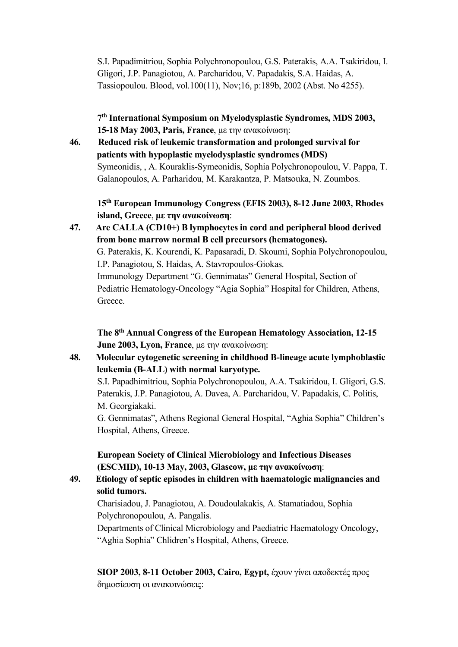S.I. Papadimitriou, Sophia Polychronopoulou, G.S. Paterakis, A.A. Tsakiridou, I. Gligori, J.P. Panagiotou, A. Parcharidou, V. Papadakis, S.A. Haidas, A. Tassiopoulou. Blood, vol.100(11), Nov;16, p:189b, 2002 (Abst. No 4255).

**7th International Symposium on Myelodysplastic Syndromes, MDS 2003, 15-18 May 2003, Paris, France**, µε την ανακοίνωση:

**46. Reduced risk of leukemic transformation and prolonged survival for patients with hypoplastic myelodysplastic syndromes (MDS)** Symeonidis, , A. Kouraklis-Symeonidis, Sophia Polychronopoulou, V. Pappa, T. Galanopoulos, A. Parharidou, M. Karakantza, P. Matsouka, N. Zoumbos.

**15th European Immunology Congress (EFIS 2003), 8-12 June 2003, Rhodes island, Greece**, **µε την ανακοίνωση**:

**47. Are CALLA (CD10+) B lymphocytes in cord and peripheral blood derived from bone marrow normal B cell precursors (hematogones).** G. Paterakis, K. Kourendi, K. Papasaradi, D. Skoumi, Sophia Polychronopoulou, I.P. Panagiotou, S. Haidas, A. Stavropoulos-Giokas. Immunology Department "G. Gennimatas" General Hospital, Section of Pediatric Hematology-Oncology "Agia Sophia" Hospital for Children, Athens, Greece.

**The 8th Annual Congress of the European Hematology Association, 12-15 June 2003, Lyon, France**, με την ανακοίνωση:

**48. Molecular cytogenetic screening in childhood B-lineage acute lymphoblastic leukemia (B-ALL) with normal karyotype.**

S.I. Papadhimitriou, Sophia Polychronopoulou, A.A. Tsakiridou, I. Gligori, G.S. Paterakis, J.P. Panagiotou, A. Davea, A. Parcharidou, V. Papadakis, C. Politis, M. Georgiakaki.

G. Gennimatas", Athens Regional General Hospital, "Aghia Sophia" Children's Hospital, Athens, Greece.

**European Society of Clinical Microbiology and Infectious Diseases (ESCMID), 10-13 May, 2003, Glascow, µε την ανακοίνωση**:

**49. Etiology of septic episodes in children with haematologic malignancies and solid tumors.**

Charisiadou, J. Panagiotou, A. Doudoulakakis, A. Stamatiadou, Sophia Polychronopoulou, A. Pangalis.

Departments of Clinical Microbiology and Paediatric Haematology Oncology, "Aghia Sophia" Chlidren's Hospital, Athens, Greece.

**SIOP 2003, 8-11 October 2003, Cairo, Egypt,** έχουν γίνει αποδεκτές προς δηµοσίευση oι ανακοινώσεις: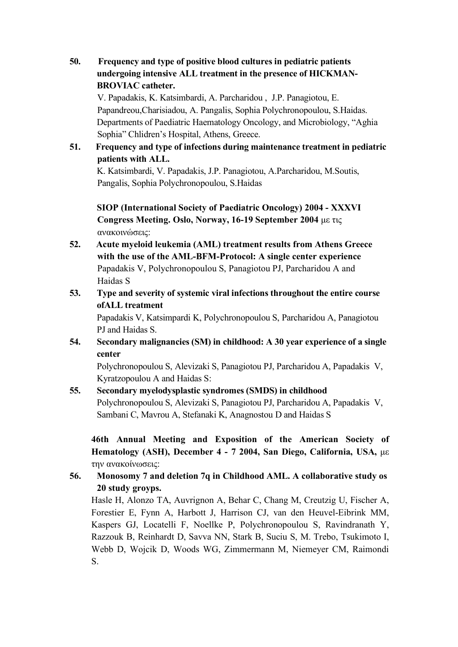**50. Frequency and type of positive blood cultures in pediatric patients undergoing intensive ALL treatment in the presence of HICKMAN-BROVIAC catheter.**

V. Papadakis, K. Katsimbardi, A. Parcharidou , J.P. Panagiotou, E. Papandreou,Charisiadou, A. Pangalis, Sophia Polychronopoulou, S.Haidas. Departments of Paediatric Haematology Oncology, and Microbiology, "Aghia Sophia" Chlidren's Hospital, Athens, Greece.

**51. Frequency and type of infections during maintenance treatment in pediatric patients with ALL.** K. Katsimbardi, V. Papadakis, J.P. Panagiotou, A.Parcharidou, M.Soutis,

Pangalis, Sophia Polychronopoulou, S.Haidas

**SIOP (International Society of Paediatric Oncology) 2004 - XXXVI Congress Meeting. Oslo, Norway, 16-19 September 2004** µε τις ανακοινώσεις:

- **52. Acute myeloid leukemia (AML) treatment results from Athens Greece with the use of the AML-BFM-Protocol: A single center experience** Papadakis V, Polychronopoulou S, Panagiotou PJ, Parcharidou A and Haidas S
- **53. Type and severity of systemic viral infections throughout the entire course ofALL treatment**

Papadakis V, Katsimpardi K, Polychronopoulou S, Parcharidou A, Panagiotou PJ and Haidas S.

**54. Secondary malignancies (SM) in childhood: A 30 year experience of a single center** 

Polychronopoulou S, Alevizaki S, Panagiotou PJ, Parcharidou A, Papadakis V, Kyratzopoulou A and Haidas S:

#### **55. Secondary myelodysplastic syndromes (SMDS) in childhood** Polychronopoulou S, Alevizaki S, Panagiotou PJ, Parcharidou A, Papadakis V, Sambani C, Mavrou A, Stefanaki K, Anagnostou D and Haidas S

**46th Annual Meeting and Exposition of the American Society of Hematology (ASH), December 4 - 7 2004, San Diego, California, USA,** µε την ανακοίνωσεις:

## **56. Monosomy 7 and deletion 7q in Childhood AML. A collaborative study os 20 study groyps.**

Hasle H, Alonzo TA, Auvrignon A, Behar C, Chang M, Creutzig U, Fischer A, Forestier E, Fynn A, Harbott J, Harrison CJ, van den Heuvel-Eibrink MM, Kaspers GJ, Locatelli F, Noellke P, Polychronopoulou S, Ravindranath Y, Razzouk B, Reinhardt D, Savva NN, Stark B, Suciu S, M. Trebo, Tsukimoto I, Webb D, Wojcik D, Woods WG, Zimmermann M, Niemeyer CM, Raimondi S.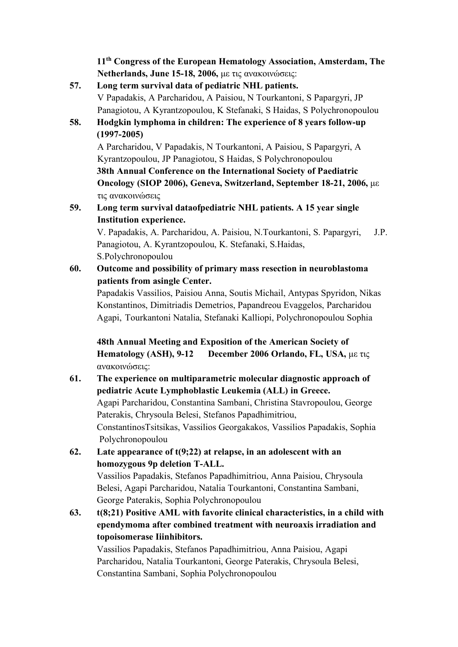**11th Congress of the European Hematology Association, Amsterdam, The Netherlands, June 15-18, 2006,** µε τις ανακοινώσεις:

# **57. Long term survival data of pediatric NHL patients.**  V Papadakis, A Parcharidou, A Paisiou, N Tourkantoni, S Papargyri, JP Panagiotou, A Kyrantzopoulou, K Stefanaki, S Haidas, S Polychronopoulou

# **58. Hodgkin lymphoma in children: The experience of 8 years follow-up (1997-2005)**

A Parcharidou, V Papadakis, N Tourkantoni, A Paisiou, S Papargyri, A Kyrantzopoulou, JP Panagiotou, S Haidas, S Polychronopoulou **38th Annual Conference on the International Society of Paediatric Oncology (SIOP 2006), Geneva, Switzerland, September 18-21, 2006,** µε τις ανακοινώσεις

**59. Long term survival dataofpediatric NHL patients. A 15 year single Institution experience.** 

V. Papadakis, A. Parcharidou, A. Paisiou, N.Tourkantoni, S. Papargyri, J.P. Panagiotou, A. Kyrantzopoulou, K. Stefanaki, S.Haidas, S.Polychronopoulou

**60. Outcome and possibility of primary mass resection in neuroblastoma patients from asingle Center.**

Papadakis Vassilios, Paisiou Anna, Soutis Michail, Antypas Spyridon, Nikas Konstantinos, Dimitriadis Demetrios, Papandreou Evaggelos, Parcharidou Agapi, Tourkantoni Natalia, Stefanaki Kalliopi, Polychronopoulou Sophia

**48th Annual Meeting and Exposition of the American Society of Hematology (ASH), 9-12 December 2006 Orlando, FL, USA,** µε τις ανακοινώσεις:

# **61. The experience on multiparametric molecular diagnostic approach of pediatric Acute Lymphoblastic Leukemia (ALL) in Greece.** Agapi Parcharidou, Constantina Sambani, Christina Stavropoulou, George Paterakis, Chrysoula Belesi, Stefanos Papadhimitriou, ConstantinosTsitsikas, Vassilios Georgakakos, Vassilios Papadakis, Sophia Polychronopoulou

**62. Late appearance of t(9;22) at relapse, in an adolescent with an homozygous 9p deletion T-ALL.** Vassilios Papadakis, Stefanos Papadhimitriou, Anna Paisiou, Chrysoula Belesi, Agapi Parcharidou, Natalia Tourkantoni, Constantina Sambani,

George Paterakis, Sophia Polychronopoulou

**63. t(8;21) Positive AML with favorite clinical characteristics, in a child with ependymoma after combined treatment with neuroaxis irradiation and topoisomerase Iiinhibitors.**

Vassilios Papadakis, Stefanos Papadhimitriou, Anna Paisiou, Agapi Parcharidou, Natalia Tourkantoni, George Paterakis, Chrysoula Belesi, Constantina Sambani, Sophia Polychronopoulou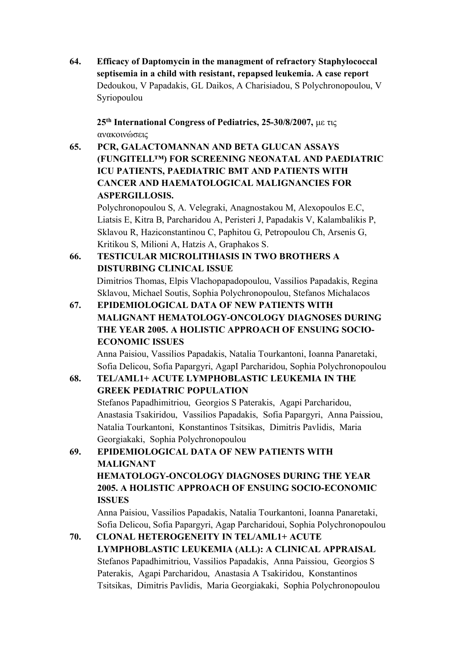**64. Efficacy of Daptomycin in the managment of refractory Staphylococcal septisemia in a child with resistant, repapsed leukemia. A case report** Dedoukou, V Papadakis, GL Daikos, A Charisiadou, S Polychronopoulou, V Syriopoulou

**25th International Congress of Pediatrics, 25-30/8/2007,** µε τις ανακοινώσεις

**65. PCR, GALACTOMANNAN AND BETA GLUCAN ASSAYS (FUNGITELL™) FOR SCREENING NEONATAL AND PAEDIATRIC ICU PATIENTS, PAEDIATRIC BMT AND PATIENTS WITH CANCER AND HAEMATOLOGICAL MALIGNANCIES FOR ASPERGILLOSIS.**

Polychronopoulou S, A. Velegraki, Anagnostakou M, Alexopoulos E.C, Liatsis E, Kitra B, Parcharidou A, Peristeri J, Papadakis V, Kalambalikis P, Sklavou R, Haziconstantinou C, Paphitou G, Petropoulou Ch, Arsenis G, Kritikou S, Milioni A, Hatzis A, Graphakos S.

# **66. TESTICULAR MICROLITHIASIS IN TWO BROTHERS A DISTURBING CLINICAL ISSUE**

Dimitrios Thomas, Elpis Vlachopapadopoulou, Vassilios Papadakis, Regina Sklavou, Michael Soutis, Sophia Polychronopoulou, Stefanos Michalacos

**67. EPIDEMIOLOGICAL DATA OF NEW PATIENTS WITH MALIGNANT HEMATOLOGY-ONCOLOGY DIAGNOSES DURING THE YEAR 2005. A HOLISTIC APPROACH OF ENSUING SOCIO-ECONOMIC ISSUES**

Anna Paisiou, Vassilios Papadakis, Natalia Tourkantoni, Ioanna Panaretaki, Sofia Delicou, Sofia Papargyri, AgapI Parcharidou, Sophia Polychronopoulou

# **68. TEL/AML1+ ACUTE LYMPHOBLASTIC LEUKEMIA IN THE GREEK PEDIATRIC POPULATION**

Stefanos Papadhimitriou, Georgios S Paterakis, Agapi Parcharidou, Anastasia Tsakiridou, Vassilios Papadakis, Sofia Papargyri, Anna Paissiou, Natalia Tourkantoni, Konstantinos Tsitsikas, Dimitris Pavlidis, Maria Georgiakaki, Sophia Polychronopoulou

**69. EPIDEMIOLOGICAL DATA OF NEW PATIENTS WITH MALIGNANT HEMATOLOGY-ONCOLOGY DIAGNOSES DURING THE YEAR 2005. A HOLISTIC APPROACH OF ENSUING SOCIO-ECONOMIC ISSUES**

Anna Paisiou, Vassilios Papadakis, Natalia Tourkantoni, Ioanna Panaretaki, Sofia Delicou, Sofia Papargyri, Agap Parcharidoui, Sophia Polychronopoulou

**70. CLONAL HETEROGENEITY IN TEL/AML1+ ACUTE LYMPHOBLASTIC LEUKEMIA (ALL): A CLINICAL APPRAISAL** Stefanos Papadhimitriou, Vassilios Papadakis, Anna Paissiou, Georgios S Paterakis, Agapi Parcharidou, Anastasia A Tsakiridou, Konstantinos Tsitsikas, Dimitris Pavlidis, Maria Georgiakaki, Sophia Polychronopoulou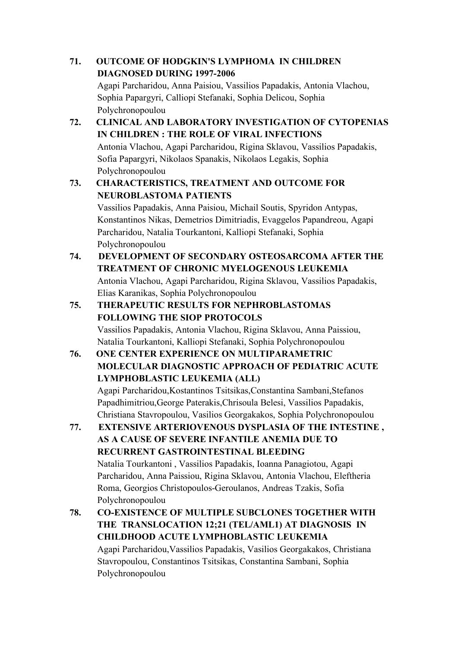# **71. OUTCOME OF HODGKIN'S LYMPHOMA IN CHILDREN DIAGNOSED DURING 1997-2006** Agapi Parcharidou, Anna Paisiou, Vassilios Papadakis, Antonia Vlachou, Sophia Papargyri, Calliopi Stefanaki, Sophia Delicou, Sophia Polychronopoulou **72. CLINICAL AND LABORATORY INVESTIGATION OF CYTOPENIAS IN CHILDREN : THE ROLE OF VIRAL INFECTIONS** Antonia Vlachou, Agapi Parcharidou, Rigina Sklavou, Vassilios Papadakis, Sofia Papargyri, Nikolaos Spanakis, Nikolaos Legakis, Sophia Polychronopoulou **73. CHARACTERISTICS, TREATMENT AND OUTCOME FOR NEUROBLASTOMA PATIENTS**  Vassilios Papadakis, Anna Paisiou, Michail Soutis, Spyridon Antypas, Konstantinos Nikas, Demetrios Dimitriadis, Evaggelos Papandreou, Agapi Parcharidou, Natalia Tourkantoni, Kalliopi Stefanaki, Sophia Polychronopoulou **74. DEVELOPMENT OF SECONDARY OSTEOSARCOMA AFTER THE TREATMENT OF CHRONIC MYELOGENOUS LEUKEMIA** Antonia Vlachou, Agapi Parcharidou, Rigina Sklavou, Vassilios Papadakis, Elias Karanikas, Sophia Polychronopoulou **75. THERAPEUTIC RESULTS FOR NEPHROBLASTOMAS FOLLOWING THE SIOP PROTOCOLS**

Vassilios Papadakis, Antonia Vlachou, Rigina Sklavou, Anna Paissiou, Natalia Tourkantoni, Kalliopi Stefanaki, Sophia Polychronopoulou

# **76. ONE CENTER EXPERIENCE ON MULTIPARAMETRIC MOLECULAR DIAGNOSTIC APPROACH OF PEDIATRIC ACUTE LYMPHOBLASTIC LEUKEMIA (ALL)**

Agapi Parcharidou,Kostantinos Tsitsikas,Constantina Sambani,Stefanos Papadhimitriou,George Paterakis,Chrisoula Belesi, Vassilios Papadakis, Christiana Stavropoulou, Vasilios Georgakakos, Sophia Polychronopoulou

- **77. EXTENSIVE ARTERIOVENOUS DYSPLASIA OF THE INTESTINE , AS A CAUSE OF SEVERE INFANTILE ANEMIA DUE TO RECURRENT GASTROINTESTINAL BLEEDING** Natalia Tourkantoni , Vassilios Papadakis, Ioanna Panagiotou, Agapi Parcharidou, Anna Paissiou, Rigina Sklavou, Antonia Vlachou, Eleftheria Roma, Georgios Christopoulos-Geroulanos, Andreas Tzakis, Sofia Polychronopoulou
- **78. CO-EXISTENCE OF MULTIPLE SUBCLONES TOGETHER WITH THE TRANSLOCATION 12;21 (TEL/AML1) AT DIAGNOSIS IN CHILDHOOD ACUTE LYMPHOBLASTIC LEUKEMIA** Agapi Parcharidou,Vassilios Papadakis, Vasilios Georgakakos, Christiana Stavropoulou, Constantinos Tsitsikas, Constantina Sambani, Sophia Polychronopoulou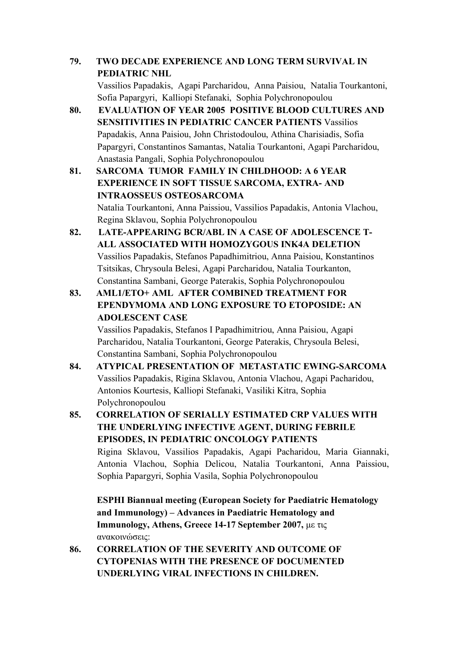**79. TWO DECADE EXPERIENCE AND LONG TERM SURVIVAL IN PEDIATRIC NHL**

Vassilios Papadakis, Agapi Parcharidou, Anna Paisiou, Natalia Tourkantoni, Sofia Papargyri, Kalliopi Stefanaki, Sophia Polychronopoulou

- **80. EVALUATION OF YEAR 2005 POSITIVE BLOOD CULTURES AND SENSITIVITIES IN PEDIATRIC CANCER PATIENTS** Vassilios Papadakis, Anna Paisiou, John Christodoulou, Athina Charisiadis, Sofia Papargyri, Constantinos Samantas, Natalia Tourkantoni, Agapi Parcharidou, Anastasia Pangali, Sophia Polychronopoulou
- **81. SARCOMA TUMOR FAMILY IN CHILDHOOD: A 6 YEAR EXPERIENCE IN SOFT TISSUE SARCOMA, EXTRA- AND INTRAOSSEUS OSTEOSARCOMA**

Natalia Tourkantoni, Anna Paissiou, Vassilios Papadakis, Antonia Vlachou, Regina Sklavou, Sophia Polychronopoulou

- **82. LATE-APPEARING BCR/ABL IN A CASE OF ADOLESCENCE T-ALL ASSOCIATED WITH HOMOZYGOUS INK4A DELETION** Vassilios Papadakis, Stefanos Papadhimitriou, Anna Paisiou, Konstantinos Tsitsikas, Chrysoula Belesi, Agapi Parcharidou, Natalia Tourkanton, Constantina Sambani, George Paterakis, Sophia Polychronopoulou
- **83. AML1/ETO+ AML AFTER COMBINED TREATMENT FOR EPENDYMOMA AND LONG EXPOSURE TO ETOPOSIDE: AN ADOLESCENT CASE**

Vassilios Papadakis, Stefanos I Papadhimitriou, Anna Paisiou, Agapi Parcharidou, Natalia Tourkantoni, George Paterakis, Chrysoula Belesi, Constantina Sambani, Sophia Polychronopoulou

- **84. ATYPICAL PRESENTATION OF METASTATIC EWING-SARCOMA** Vassilios Papadakis, Rigina Sklavou, Antonia Vlachou, Agapi Pacharidou, Antonios Kourtesis, Kalliopi Stefanaki, Vasiliki Kitra, Sophia Polychronopoulou
- **85. CORRELATION OF SERIALLY ESTIMATED CRP VALUES WITH THE UNDERLYING INFECTIVE AGENT, DURING FEBRILE EPISODES, IN PEDIATRIC ONCOLOGY PATIENTS** Rigina Sklavou, Vassilios Papadakis, Agapi Pacharidou, Maria Giannaki, Antonia Vlachou, Sophia Delicou, Natalia Tourkantoni, Anna Paissiou, Sophia Papargyri, Sophia Vasila, Sophia Polychronopoulou

**ESPHI Biannual meeting (European Society for Paediatric Hematology and Immunology) – Advances in Paediatric Hematology and Immunology, Athens, Greece 14-17 September 2007,** µε τις ανακοινώσεις:

**86. CORRELATION OF THE SEVERITY AND OUTCOME OF CYTOPENIAS WITH THE PRESENCE OF DOCUMENTED UNDERLYING VIRAL INFECTIONS IN CHILDREN.**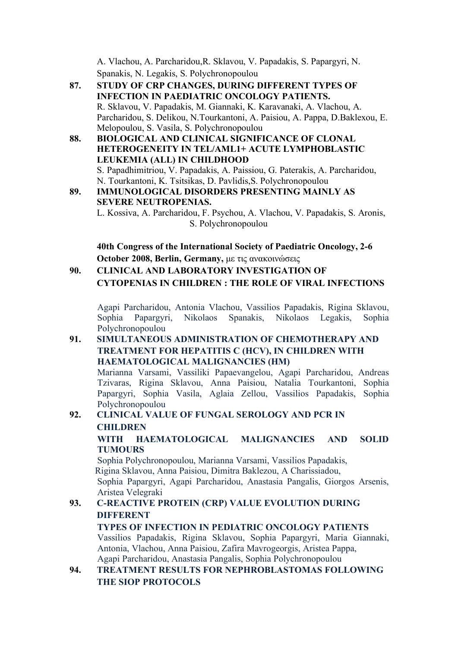A. Vlachou, A. Parcharidou,R. Sklavou, V. Papadakis, S. Papargyri, N. Spanakis, N. Legakis, S. Polychronopoulou

- **87. STUDY OF CRP CHANGES, DURING DIFFERENT TYPES OF INFECTION IN PAEDIATRIC ONCOLOGY PATIENTS.** R. Sklavou, V. Papadakis, M. Giannaki, K. Karavanaki, A. Vlachou, A. Parcharidou, S. Delikou, N.Tourkantoni, A. Paisiou, A. Pappa, D.Baklexou, E. Melopoulou, S. Vasila, S. Polychronopoulou
- **88. BIOLOGICAL AND CLINICAL SIGNIFICANCE OF CLONAL HETEROGENEITY IN TEL/AML1+ ACUTE LYMPHOBLASTIC LEUKEMIA (ALL) IN CHILDHOOD** S. Papadhimitriou, V. Papadakis, A. Paissiou, G. Paterakis, A. Parcharidou, N. Tourkantoni, K. Tsitsikas, D. Pavlidis,S. Polychronopoulou
- **89. IMMUNOLOGICAL DISORDERS PRESENTING MAINLY AS SEVERE NEUTROPENIAS.**

L. Kossiva, A. Parcharidou, F. Psychou, A. Vlachou, V. Papadakis, S. Aronis, S. Polychronopoulou

**40th Congress of the International Society of Paediatric Oncology, 2-6 October 2008, Berlin, Germany,** µε τις ανακοινώσεις

**90. CLINICAL AND LABORATORY INVESTIGATION OF CYTOPENIAS IN CHILDREN : THE ROLE OF VIRAL INFECTIONS**

Agapi Parcharidou, Antonia Vlachou, Vassilios Papadakis, Rigina Sklavou, Sophia Papargyri, Nikolaos Spanakis, Nikolaos Legakis, Sophia Polychronopoulou

#### **91. SIMULTANEOUS ADMINISTRATION OF CHEMOTHERAPY AND TREATMENT FOR HEPATITIS C (HCV), IN CHILDREN WITH HAEMATOLOGICAL MALIGNANCIES (HM)**

Marianna Varsami, Vassiliki Papaevangelou, Agapi Parcharidou, Andreas Tzivaras, Rigina Sklavou, Anna Paisiou, Natalia Tourkantoni, Sophia Papargyri, Sophia Vasila, Aglaia Zellou, Vassilios Papadakis, Sophia Polychronopoulou

# **92. CLINICAL VALUE OF FUNGAL SEROLOGY AND PCR IN CHILDREN**

**WITH HAEMATOLOGICAL MALIGNANCIES AND SOLID TUMOURS**

Sophia Polychronopoulou, Marianna Varsami, Vassilios Papadakis, Rigina Sklavou, Anna Paisiou, Dimitra Baklezou, A Charissiadou, Sophia Papargyri, Agapi Parcharidou, Anastasia Pangalis, Giorgos Arsenis, Aristea Velegraki

# **93. C-REACTIVE PROTEIN (CRP) VALUE EVOLUTION DURING DIFFERENT**

#### **TYPES OF INFECTION IN PEDIATRIC ONCOLOGY PATIENTS** Vassilios Papadakis, Rigina Sklavou, Sophia Papargyri, Maria Giannaki,

Antonia, Vlachou, Anna Paisiou, Zafira Mavrogeorgis, Aristea Pappa, Agapi Parcharidou, Anastasia Pangalis, Sophia Polychronopoulou

### **94. TREATMENT RESULTS FOR NEPHROBLASTOMAS FOLLOWING THE SIOP PROTOCOLS**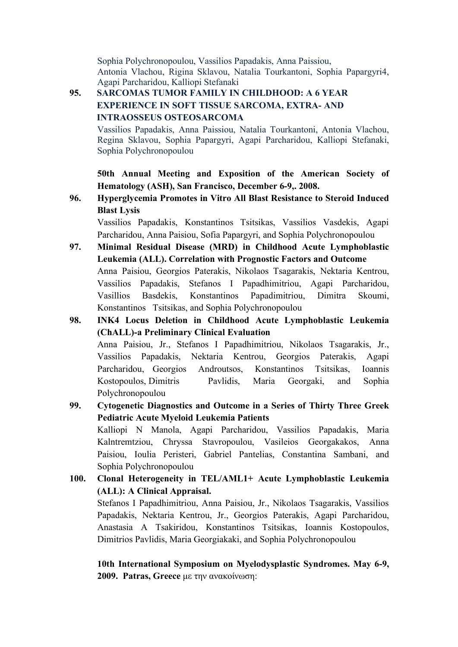Sophia Polychronopoulou, Vassilios Papadakis, Anna Paissiou, Antonia Vlachou, Rigina Sklavou, Natalia Tourkantoni, Sophia Papargyri4, Agapi Parcharidou, Kalliopi Stefanaki

#### **95. SARCOMAS TUMOR FAMILY IN CHILDHOOD: A 6 YEAR EXPERIENCE IN SOFT TISSUE SARCOMA, EXTRA- AND INTRAOSSEUS OSTEOSARCOMA**

Vassilios Papadakis, Anna Paissiou, Natalia Tourkantoni, Antonia Vlachou, Regina Sklavou, Sophia Papargyri, Agapi Parcharidou, Kalliopi Stefanaki, Sophia Polychronopoulou

**50th Annual Meeting and Exposition of the American Society of Hematology (ASH), San Francisco, December 6-9,. 2008.**

**96. Hyperglycemia Promotes in Vitro All Blast Resistance to Steroid Induced Blast Lysis**

Vassilios Papadakis, Konstantinos Tsitsikas, Vassilios Vasdekis, Agapi Parcharidou, Anna Paisiou, Sofia Papargyri, and Sophia Polychronopoulou

- **97. Minimal Residual Disease (MRD) in Childhood Acute Lymphoblastic Leukemia (ALL). Correlation with Prognostic Factors and Outcome** Anna Paisiou, Georgios Paterakis, Nikolaos Tsagarakis, Nektaria Kentrou, Vassilios Papadakis, Stefanos I Papadhimitriou, Agapi Parcharidou, Vasillios Basdekis, Konstantinos Papadimitriou, Dimitra Skoumi, Konstantinos Tsitsikas, and Sophia Polychronopoulou
- **98. INK4 Locus Deletion in Childhood Acute Lymphoblastic Leukemia (ChALL)-a Preliminary Clinical Evaluation** Anna Paisiou, Jr., Stefanos I Papadhimitriou, Nikolaos Tsagarakis, Jr., Vassilios Papadakis, Nektaria Kentrou, Georgios Paterakis, Agapi Parcharidou, Georgios Androutsos, Konstantinos Tsitsikas, Ioannis Kostopoulos, Dimitris Pavlidis, Maria Georgaki, and Sophia Polychronopoulou
- **99. Cytogenetic Diagnostics and Outcome in a Series of Thirty Three Greek Pediatric Acute Myeloid Leukemia Patients** Kalliopi N Manola, Agapi Parcharidou, Vassilios Papadakis, Maria Kalntremtziou, Chryssa Stavropoulou, Vasileios Georgakakos, Anna Paisiou, Ioulia Peristeri, Gabriel Pantelias, Constantina Sambani, and Sophia Polychronopoulou
- **100. Clonal Heterogeneity in TEL/AML1+ Acute Lymphoblastic Leukemia (ALL): A Clinical Appraisal.**

Stefanos I Papadhimitriou, Anna Paisiou, Jr., Nikolaos Tsagarakis, Vassilios Papadakis, Nektaria Kentrou, Jr., Georgios Paterakis, Agapi Parcharidou, Anastasia A Tsakiridou, Konstantinos Tsitsikas, Ioannis Kostopoulos, Dimitrios Pavlidis, Maria Georgiakaki, and Sophia Polychronopoulou

**10th International Symposium on Myelodysplastic Syndromes. May 6-9, 2009. Patras, Greece** µε την ανακοίνωση: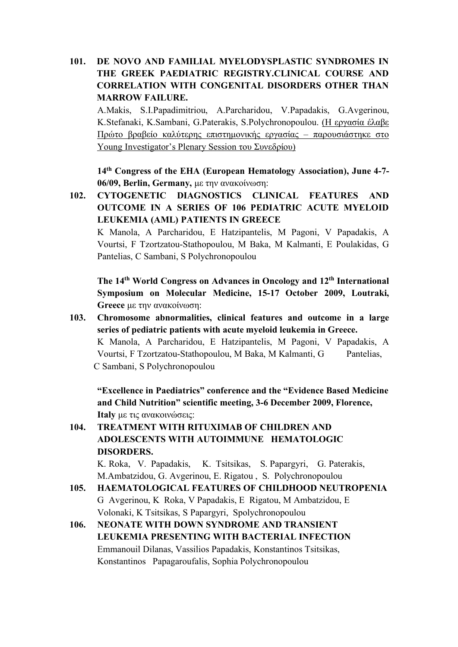#### **101. DE NOVO AND FAMILIAL MYELODYSPLASTIC SYNDROMES IN THE GREEK PAEDIATRIC REGISTRY.CLINICAL COURSE AND CORRELATION WITH CONGENITAL DISORDERS OTHER THAN MARROW FAILURE.**

A.Makis, S.I.Papadimitriou, A.Parcharidou, V.Papadakis, G.Avgerinou, K.Stefanaki, K.Sambani, G.Paterakis, S.Polychronopoulou. (Η εργασία έλαβε Πρώτο βραβείο καλύτερης επιστηµονικής εργασίας – παρουσιάστηκε στο Young Investigator's Plenary Session του Συνεδρίου)

**14th Congress of the EHA (European Hematology Association), June 4-7- 06/09, Berlin, Germany,** µε την ανακοίνωση:

**102. CYTOGENETIC DIAGNOSTICS CLINICAL FEATURES AND OUTCOME IN A SERIES OF 106 PEDIATRIC ACUTE MYELOID LEUKEMIA (AML) PATIENTS IN GREECE**

K Manola, A Parcharidou, E Hatzipantelis, M Pagoni, V Papadakis, A Vourtsi, F Tzortzatou-Stathopoulou, M Baka, M Kalmanti, E Poulakidas, G Pantelias, C Sambani, S Polychronopoulou

**The 14th World Congress on Advances in Oncology and 12th International Symposium on Molecular Medicine, 15-17 October 2009, Loutraki, Greece** µε την ανακοίνωση:

**103. Chromosome abnormalities, clinical features and outcome in a large series of pediatric patients with acute myeloid leukemia in Greece.** K Manola, A Parcharidou, E Hatzipantelis, M Pagoni, V Papadakis, A Vourtsi, F Tzortzatou-Stathopoulou, M Baka, M Kalmanti, G Pantelias, C Sambani, S Polychronopoulou

**"Excellence in Paediatrics" conference and the "Evidence Based Medicine and Child Nutrition" scientific meeting, 3-6 December 2009, Florence, Italy** µε τις ανακοινώσεις:

# **104. TREATMENT WITH RITUXIMAB OF CHILDREN AND ADOLESCENTS WITH AUTOIMMUNE HEMATOLOGIC DISORDERS.**

K. Roka, V. Papadakis, K. Tsitsikas, S. Papargyri, G. Paterakis, M.Ambatzidou, G. Avgerinou, E. Rigatou , S. Polychronopoulou

- **105. HAEMATOLOGICAL FEATURES OF CHILDHOOD NEUTROPENIA**  G Avgerinou, K Roka, V Papadakis, E Rigatou, M Ambatzidou, E Volonaki, K Tsitsikas, S Papargyri, Spolychronopoulou
- **106. NEONATE WITH DOWN SYNDROME AND TRANSIENT LEUKEMIA PRESENTING WITH BACTERIAL INFECTION** Emmanouil Dilanas, Vassilios Papadakis, Konstantinos Tsitsikas, Konstantinos Papagaroufalis, Sophia Polychronopoulou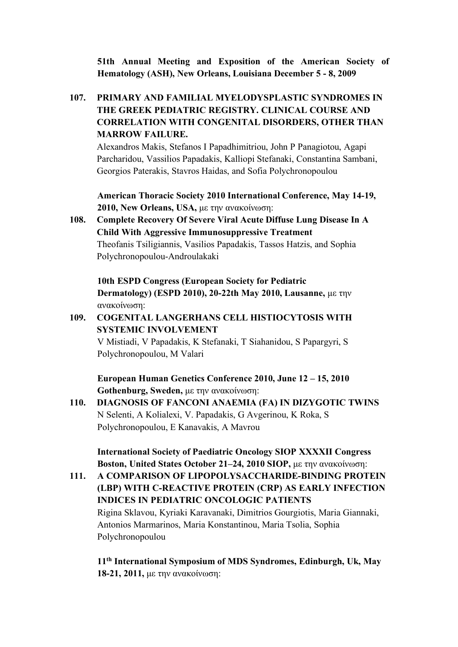**51th Annual Meeting and Exposition of the American Society of Hematology (ASH), New Orleans, Louisiana December 5 - 8, 2009**

**107. PRIMARY AND FAMILIAL MYELODYSPLASTIC SYNDROMES IN THE GREEK PEDIATRIC REGISTRY. CLINICAL COURSE AND CORRELATION WITH CONGENITAL DISORDERS, OTHER THAN MARROW FAILURE.**

Alexandros Makis, Stefanos I Papadhimitriou, John P Panagiotou, Agapi Parcharidou, Vassilios Papadakis, Kalliopi Stefanaki, Constantina Sambani, Georgios Paterakis, Stavros Haidas, and Sofia Polychronopoulou

**American Thoracic Society 2010 International Conference, May 14-19, 2010, New Orleans, USA,** µε την ανακοίνωση:

**108. Complete Recovery Of Severe Viral Acute Diffuse Lung Disease In A Child With Aggressive Immunosuppressive Treatment** Theofanis Tsiligiannis, Vasilios Papadakis, Tassos Hatzis, and Sophia Polychronopoulou-Androulakaki

**10th ESPD Congress (European Society for Pediatric Dermatology) (ESPD 2010), 20-22th May 2010, Lausanne,** µε την ανακοίνωση:

### **109. COGENITAL LANGERHANS CELL HISTIOCYTOSIS WITH SYSTEMIC INVOLVEMENT**

V Mistiadi, V Papadakis, K Stefanaki, T Siahanidou, S Papargyri, S Polychronopoulou, M Valari

**European Human Genetics Conference 2010, June 12 – 15, 2010 Gothenburg, Sweden,** µε την ανακοίνωση:

**110. DIAGNOSIS OF FANCONI ANAEMIA (FA) IN DIZYGOTIC TWINS** N Selenti, A Kolialexi, V. Papadakis, G Avgerinou, K Roka, S Polychronopoulou, E Kanavakis, A Mavrou

**International Society of Paediatric Oncology SIOP XXXXII Congress Boston, United States October 21–24, 2010 SIOP,** µε την ανακοίνωση:

**111. A COMPARISON OF LIPOPOLYSACCHARIDE-BINDING PROTEIN (LBP) WITH C-REACTIVE PROTEIN (CRP) AS EARLY INFECTION INDICES IN PEDIATRIC ONCOLOGIC PATIENTS** Rigina Sklavou, Kyriaki Karavanaki, Dimitrios Gourgiotis, Maria Giannaki, Antonios Marmarinos, Maria Konstantinou, Maria Tsolia, Sophia Polychronopoulou

**11th International Symposium of MDS Syndromes, Edinburgh, Uk, May 18-21, 2011,** µε την ανακοίνωση: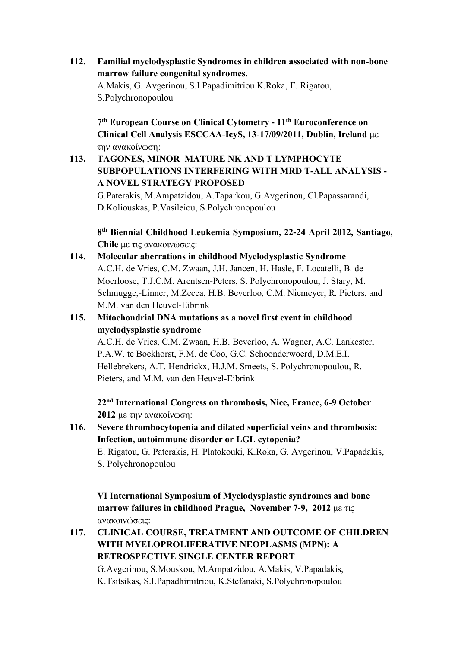**112. Familial myelodysplastic Syndromes in children associated with non-bone marrow failure congenital syndromes.** 

A.Makis, G. Avgerinou, S.I Papadimitriou K.Roka, E. Rigatou, S.Polychronopoulou

**7th European Course on Clinical Cytometry - 11th Euroconference on Clinical Cell Analysis ESCCAA-IcyS, 13-17/09/2011, Dublin, Ireland** µε την ανακοίνωση:

# **113. TAGONES, MINOR MATURE NK AND T LYMPHOCYTE SUBPOPULATIONS INTERFERING WITH MRD T-ALL ANALYSIS - A NOVEL STRATEGY PROPOSED**

G.Paterakis, M.Ampatzidou, A.Taparkou, G.Avgerinou, Cl.Papassarandi, D.Koliouskas, P.Vasileiou, S.Polychronopoulou

**8th Biennial Childhood Leukemia Symposium, 22-24 April 2012, Santiago, Chile** µε τις ανακοινώσεις:

**114. Molecular aberrations in childhood Myelodysplastic Syndrome**  A.C.H. de Vries, C.M. Zwaan, J.H. Jancen, H. Hasle, F. Locatelli, B. de Moerloose, T.J.C.M. Arentsen-Peters, S. Polychronopoulou, J. Stary, M. Schmugge,-Linner, M.Zecca, H.B. Beverloo, C.M. Niemeyer, R. Pieters, and M.M. van den Heuvel-Eibrink

#### **115. Mitochondrial DNA mutations as a novel first event in childhood myelodysplastic syndrome**

A.C.H. de Vries, C.M. Zwaan, H.B. Beverloo, A. Wagner, A.C. Lankester, P.A.W. te Boekhorst, F.M. de Coo, G.C. Schoonderwoerd, D.M.E.I. Hellebrekers, A.T. Hendrickx, H.J.M. Smeets, S. Polychronopoulou, R. Pieters, and M.M. van den Heuvel-Eibrink

**22nd International Congress on thrombosis, Nice, France, 6-9 October 2012** µε την ανακοίνωση:

**116. Severe thrombocytopenia and dilated superficial veins and thrombosis: Infection, autoimmune disorder or LGL cytopenia?** 

E. Rigatou, G. Paterakis, H. Platokouki, K.Roka, G. Avgerinou, V.Papadakis, S. Polychronopoulou

**VI International Symposium of Myelodysplastic syndromes and bone marrow failures in childhood Prague, November 7-9, 2012** µε τις ανακοινώσεις:

**117. CLINICAL COURSE, TREATMENT AND OUTCOME OF CHILDREN WITH MYELOPROLIFERATIVE NEOPLASMS (MPN): A RETROSPECTIVE SINGLE CENTER REPORT** G.Avgerinou, S.Mouskou, M.Ampatzidou, A.Makis, V.Papadakis, K.Tsitsikas, S.I.Papadhimitriou, K.Stefanaki, S.Polychronopoulou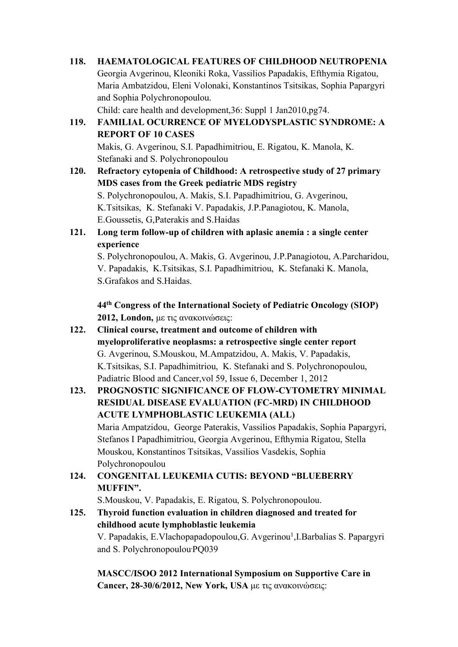| 118. | <b>HAEMATOLOGICAL FEATURES OF CHILDHOOD NEUTROPENIA</b>                    |
|------|----------------------------------------------------------------------------|
|      | Georgia Avgerinou, Kleoniki Roka, Vassilios Papadakis, Efthymia Rigatou,   |
|      | Maria Ambatzidou, Eleni Volonaki, Konstantinos Tsitsikas, Sophia Papargyri |
|      | and Sophia Polychronopoulou.                                               |
|      | Child: care health and development, 36: Suppl 1 Jan2010, pg74.             |
| 119. | FAMILIAL OCURRENCE OF MYELODYSPLASTIC SYNDROME: A                          |
|      | <b>REPORT OF 10 CASES</b>                                                  |
|      | Makis, G. Avgerinou, S.I. Papadhimitriou, E. Rigatou, K. Manola, K.        |
|      | Stefanaki and S. Polychronopoulou                                          |

- **120. Refractory cytopenia of Childhood: A retrospective study of 27 primary MDS cases from the Greek pediatric MDS registry** S. Polychronopoulou, A. Makis, S.I. Papadhimitriou, G. Avgerinou, K.Tsitsikas, K. Stefanaki V. Papadakis, J.P.Panagiotou, K. Manola, E.Goussetis, G,Paterakis and S.Haidas
- **121. Long term follow-up of children with aplasic anemia : a single center experience**

S. Polychronopoulou, A. Makis, G. Avgerinou, J.P.Panagiotou, A.Parcharidou, V. Papadakis, K.Tsitsikas, S.I. Papadhimitriou, K. Stefanaki K. Manola, S.Grafakos and S.Haidas.

**44th Congress of the International Society of Pediatric Oncology (SIOP) 2012, London,** µε τις ανακοινώσεις:

**122. Clinical course, treatment and outcome of children with myeloproliferative neoplasms: a retrospective single center report** G. Avgerinou, S.Mouskou, M.Ampatzidou, A. Makis, V. Papadakis, K.Tsitsikas, S.I. Papadhimitriou, K. Stefanaki and S. Polychronopoulou, Padiatric Blood and Cancer,vol 59, Issue 6, December 1, 2012

# **123. PROGNOSTIC SIGNIFICANCE OF FLOW-CYTOMETRY MINIMAL RESIDUAL DISEASE EVALUATION (FC-MRD) IN CHILDHOOD ACUTE LYMPHOBLASTIC LEUKEMIA (ALL)** Maria Ampatzidou, George Paterakis, Vassilios Papadakis, Sophia Papargyri,

Stefanos I Papadhimitriou, Georgia Avgerinou, Efthymia Rigatou, Stella Mouskou, Konstantinos Tsitsikas, Vassilios Vasdekis, Sophia Polychronopoulou

# **124. CONGENITAL LEUKEMIA CUTIS: BEYOND "BLUEBERRY MUFFIN".**

S.Mouskou, V. Papadakis, E. Rigatou, S. Polychronopoulou.

**125. Thyroid function evaluation in children diagnosed and treated for childhood acute lymphoblastic leukemia** V. Papadakis, E. Vlachopapadopoulou, G. Avgerinou<sup>1</sup>, I. Barbalias S. Papargyri and S. Polychronopoulou, PQ039

**MASCC/ISOO 2012 International Symposium on Supportive Care in Cancer, 28-30/6/2012, New York, USA** µε τις ανακοινώσεις: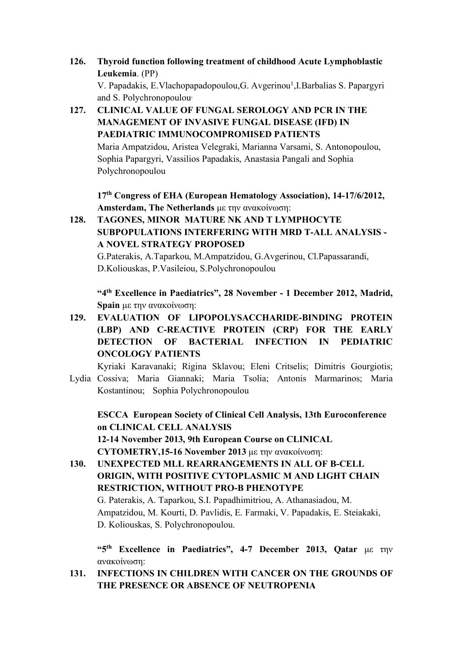- **126. Thyroid function following treatment of childhood Acute Lymphoblastic Leukemia**. (PP) V. Papadakis, E. Vlachopapadopoulou, G. Avgerinou<sup>1</sup>, I. Barbalias S. Papargyri and S. Polychronopoulou,
- **127. CLINICAL VALUE OF FUNGAL SEROLOGY AND PCR IN THE MANAGEMENT OF INVASIVE FUNGAL DISEASE (IFD) IN PAEDIATRIC IMMUNOCOMPROMISED PATIENTS**

Maria Ampatzidou, Aristea Velegraki, Marianna Varsami, S. Antonopoulou, Sophia Papargyri, Vassilios Papadakis, Anastasia Pangali and Sophia Polychronopoulou

**17th Congress of EHA (European Hematology Association), 14-17/6/2012, Amsterdam, The Netherlands** µε την ανακοίνωση:

**128. TAGONES, MINOR MATURE NK AND T LYMPHOCYTE SUBPOPULATIONS INTERFERING WITH MRD T-ALL ANALYSIS - A NOVEL STRATEGY PROPOSED**

G.Paterakis, A.Taparkou, M.Ampatzidou, G.Avgerinou, Cl.Papassarandi, D.Koliouskas, P.Vasileiou, S.Polychronopoulou

**"4th Excellence in Paediatrics", 28 November - 1 December 2012, Madrid, Spain** µε την ανακοίνωση:

**129. EVALUATION OF LIPOPOLYSACCHARIDE-BINDING PROTEIN (LBP) AND C-REACTIVE PROTEIN (CRP) FOR THE EARLY DETECTION OF BACTERIAL INFECTION IN PEDIATRIC ONCOLOGY PATIENTS**

Kyriaki Karavanaki; Rigina Sklavou; Eleni Critselis; Dimitris Gourgiotis; Lydia Cossiva; Maria Giannaki; Maria Tsolia; Antonis Marmarinos; Maria Kostantinou; Sophia Polychronopoulou

**ESCCA European Society of Clinical Cell Analysis, 13th Euroconference on CLINICAL CELL ANALYSIS 12-14 November 2013, 9th European Course on CLINICAL CYTOMETRY,15-16 November 2013** µε την ανακοίνωση:

**130. UNEXPECTED MLL REARRANGEMENTS IN ALL OF B-CELL ORIGIN, WITH POSITIVE CYTOPLASMIC M AND LIGHT CHAIN RESTRICTION, WITHOUT PRO-B PHENOTYPE** G. Paterakis, A. Taparkou, S.I. Papadhimitriou, A. Athanasiadou, M. Ampatzidou, M. Kourti, D. Pavlidis, E. Farmaki, V. Papadakis, Ε. Steiakaki, D. Koliouskas, S. Polychronopoulou.

**"5th Excellence in Paediatrics", 4-7 December 2013, Qatar** µε την ανακοίνωση:

**131. INFECTIONS IN CHILDREN WITH CANCER ON THE GROUNDS OF THE PRESENCE OR ABSENCE OF NEUTROPENIA**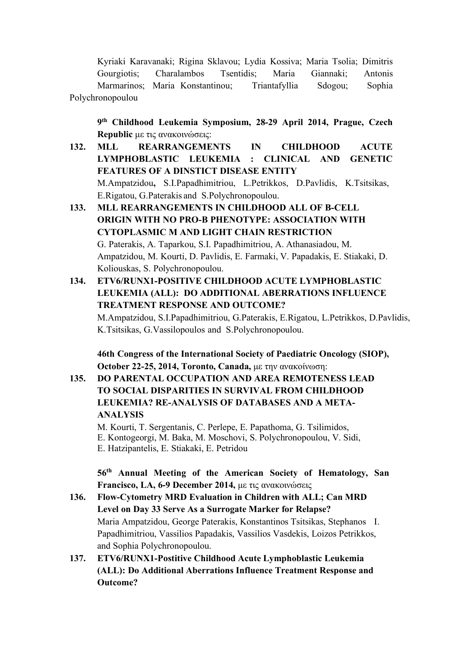Kyriaki Karavanaki; Rigina Sklavou; Lydia Kossiva; Maria Tsolia; Dimitris Gourgiotis; Charalambos Tsentidis; Maria Giannaki; Antonis Marmarinos; Maria Konstantinou; Triantafyllia Sdogou; Sophia Polychronopoulou

**9th Childhood Leukemia Symposium, 28-29 April 2014, Prague, Czech Republic** µε τις ανακοινώσεις:

- **132. MLL REARRANGEMENTS IN CHILDHOOD ACUTE LYMPHOBLASTIC LEUKEMIA : CLINICAL AND GENETIC FEATURES OF A DINSTICT DISEASE ENTITY** Μ.Αmpatzidou**,** S.I.Papadhimitriou, L.Petrikkos, D.Pavlidis, Κ.Tsitsikas, Ε.Rigatou, G.Paterakis and S.Polychronopoulou.
- **133. MLL REARRANGEMENTS IN CHILDHOOD ALL OF B-CELL ORIGIN WITH NO PRO-B PHENOTYPE: ASSOCIATION WITH CYTOPLASMIC Μ AND LIGHT CHAIN RESTRICTION**  G. Paterakis, A. Taparkou, S.I. Papadhimitriou, A. Athanasiadou, M. Ampatzidou, M. Kourti, D. Pavlidis, E. Farmaki, V. Papadakis, Ε. Stiakaki, D. Koliouskas, S. Polychronopoulou.
- **134. ETV6/RUNX1-POSITIVE CHILDHOOD ACUTE LYMPHOBLASTIC LEUKEMIA (ALL): DO ADDITIONAL ABERRATIONS INFLUENCE TREATMENT RESPONSE AND OUTCOME?**

Μ.Αmpatzidou, S.I.Papadhimitriou, G.Paterakis, Ε.Rigatou, L.Petrikkos, D.Pavlidis, Κ.Tsitsikas, G.Vassilopoulos and S.Polychronopoulou.

**46th Congress of the International Society of Paediatric Oncology (SIOP), October 22-25, 2014, Toronto, Canada,** µε την ανακοίνωση:

**135. DO PARENTAL OCCUPATION AND AREA REMOTENESS LEAD TO SOCIAL DISPARITIES IN SURVIVAL FROM CHILDHOOD LEUKEMIA? RE-ANALYSIS OF DATABASES AND A META-ANALYSIS**

M. Kourti, T. Sergentanis, C. Perlepe, E. Papathoma, G. Tsilimidos, E. Kontogeorgi, M. Baka, M. Moschovi, S. Polychronopoulou, V. Sidi, E. Hatzipantelis, E. Stiakaki, E. Petridou

**56th Annual Meeting of the American Society of Hematology, San Francisco, LA, 6-9 December 2014,** µε τις ανακοινώσεις

- **136. Flow-Cytometry MRD Evaluation in Children with ALL; Can MRD Level on Day 33 Serve As a Surrogate Marker for Relapse?** Maria Ampatzidou, George Paterakis, Konstantinos Tsitsikas, Stephanos I. Papadhimitriou, Vassilios Papadakis, Vassilios Vasdekis, Loizos Petrikkos, and Sophia Polychronopoulou.
- **137. ETV6/RUNX1-Postitive Childhood Acute Lymphoblastic Leukemia (ALL): Do Additional Aberrations Influence Treatment Response and Outcome?**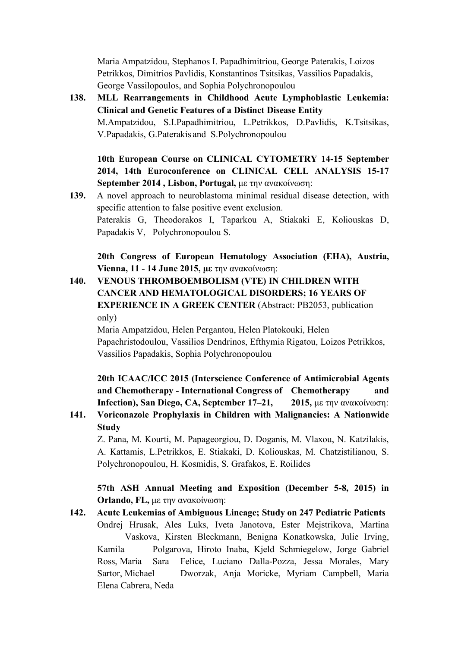Maria Ampatzidou, Stephanos I. Papadhimitriou, George Paterakis, Loizos Petrikkos, Dimitrios Pavlidis, Konstantinos Tsitsikas, Vassilios Papadakis, George Vassilopoulos, and Sophia Polychronopoulou

**138. MLL Rearrangements in Childhood Acute Lymphoblastic Leukemia: Clinical and Genetic Features of a Distinct Disease Entity** Μ.Αmpatzidou, S.I.Papadhimitriou, L.Petrikkos, D.Pavlidis, Κ.Tsitsikas, V.Papadakis, G.Paterakis and S.Polychronopoulou

#### **10th European Course on CLINICAL CYTOMETRY 14-15 September 2014, 14th Euroconference on CLINICAL CELL ANALYSIS 15-17 September 2014 , Lisbon, Portugal,** µε την ανακοίνωση:

**139.** A novel approach to neuroblastoma minimal residual disease detection, with specific attention to false positive event exclusion. Paterakis G, Theodorakos I, Taparkou A, Stiakaki E, Koliouskas D, Papadakis V, Polychronopoulou S.

**20th Congress of European Hematology Association (EHA), Austria, Vienna, 11 - 14 June 2015, µε** την ανακοίνωση:

**140. VENOUS THROMBOEMBOLISM (VTE) IN CHILDREN WITH CANCER AND HEMATOLOGICAL DISORDERS; 16 YEARS OF EXPERIENCE IN A GREEK CENTER** (Abstract: PB2053, publication only)

Maria Ampatzidou, Helen Pergantou, Helen Platokouki, Helen Papachristodoulou, Vassilios Dendrinos, Efthymia Rigatou, Loizos Petrikkos, Vassilios Papadakis, Sophia Polychronopoulou

# **20th ICAAC/ICC 2015 (Interscience Conference of Antimicrobial Agents**  and Chemotherapy - International Congress of Chemotherapy **Infection), San Diego, CA, September 17–21, 2015,** µε την ανακοίνωση:

**141. Voriconazole Prophylaxis in Children with Malignancies: A Nationwide Study**

Z. Pana, M. Kourti, M. Papageorgiou, D. Doganis, M. Vlaxou, N. Katzilakis, A. Kattamis, L.Petrikkos, E. Stiakaki, D. Koliouskas, M. Chatzistilianou, S. Polychronopoulou, H. Kosmidis, S. Grafakos, E. Roilides

**57th ASH Annual Meeting and Exposition (December 5-8, 2015) in Orlando, FL,** µε την ανακοίνωση:

**142. Acute Leukemias of Ambiguous Lineage; Study on 247 Pediatric Patients** Ondrej Hrusak, Ales Luks, Iveta Janotova, Ester Mejstrikova, Martina Vaskova, Kirsten Bleckmann, Benigna Konatkowska, Julie Irving, Kamila Polgarova, Hiroto Inaba, Kjeld Schmiegelow, Jorge Gabriel Ross, Maria Sara Felice, Luciano Dalla-Pozza, Jessa Morales, Mary Sartor, Michael Dworzak, Anja Moricke, Myriam Campbell, Maria Elena Cabrera, Neda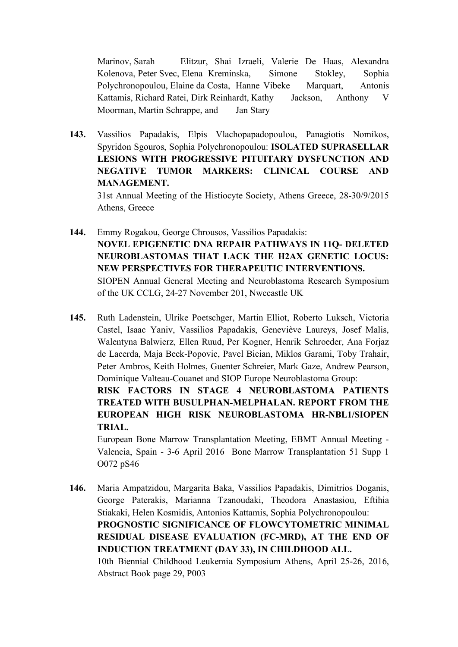Marinov, Sarah Elitzur, Shai Izraeli, Valerie De Haas, Alexandra Kolenova, Peter Svec, Elena Kreminska, Simone Stokley, Sophia Polychronopoulou, Elaine da Costa, Hanne Vibeke Marquart, Antonis Kattamis, Richard Ratei, Dirk Reinhardt, Kathy Jackson, Anthony V Moorman, Martin Schrappe, and Jan Stary

**143.** Vassilios Papadakis, Elpis Vlachopapadopoulou, Panagiotis Nomikos, Spyridon Sgouros, Sophia Polychronopoulou: **ISOLATED SUPRASELLAR LESIONS WITH PROGRESSIVE PITUITARY DYSFUNCTION AND NEGATIVE TUMOR MARKERS: CLINICAL COURSE AND MANAGEMENT.** 31st Annual Meeting of the Histiocyte Society, Athens Greece, 28-30/9/2015

Athens, Greece

- **144.** Emmy Rogakou, George Chrousos, Vassilios Papadakis: **NOVEL EPIGENETIC DNA REPAIR PATHWAYS IN 11Q- DELETED NEUROBLASTOMAS THAT LACK THE H2AX GENETIC LOCUS: NEW PERSPECTIVES FOR THERAPEUTIC INTERVENTIONS.** SIOPEN Annual General Meeting and Neuroblastoma Research Symposium of the UK CCLG, 24-27 November 201, Nwecastle UK
- **145.** Ruth Ladenstein, Ulrike Poetschger, Martin Elliot, Roberto Luksch, Victoria Castel, Isaac Yaniv, Vassilios Papadakis, Geneviève Laureys, Josef Malis, Walentyna Balwierz, Ellen Ruud, Per Kogner, Henrik Schroeder, Ana Forjaz de Lacerda, Maja Beck-Popovic, Pavel Bician, Miklos Garami, Toby Trahair, Peter Ambros, Keith Holmes, Guenter Schreier, Mark Gaze, Andrew Pearson, Dominique Valteau-Couanet and SIOP Europe Neuroblastoma Group: **RISK FACTORS IN STAGE 4 NEUROBLASTOMA PATIENTS**

**TREATED WITH BUSULPHAN-MELPHALAN. REPORT FROM THE EUROPEAN HIGH RISK NEUROBLASTOMA HR-NBL1/SIOPEN TRIAL.**

European Bone Marrow Transplantation Meeting, EBMT Annual Meeting - Valencia, Spain - 3-6 April 2016 Bone Marrow Transplantation 51 Supp 1 O072 pS46

**146.** Maria Ampatzidou, Margarita Baka, Vassilios Papadakis, Dimitrios Doganis, George Paterakis, Marianna Tzanoudaki, Theodora Anastasiou, Eftihia Stiakaki, Helen Kosmidis, Antonios Kattamis, Sophia Polychronopoulou: **PROGNOSTIC SIGNIFICANCE OF FLOWCYTOMETRIC MINIMAL RESIDUAL DISEASE EVALUATION (FC-MRD), AT THE END OF INDUCTION TREATMENT (DAY 33), IN CHILDHOOD ALL.** 10th Biennial Childhood Leukemia Symposium Athens, April 25-26, 2016, Abstract Book page 29, P003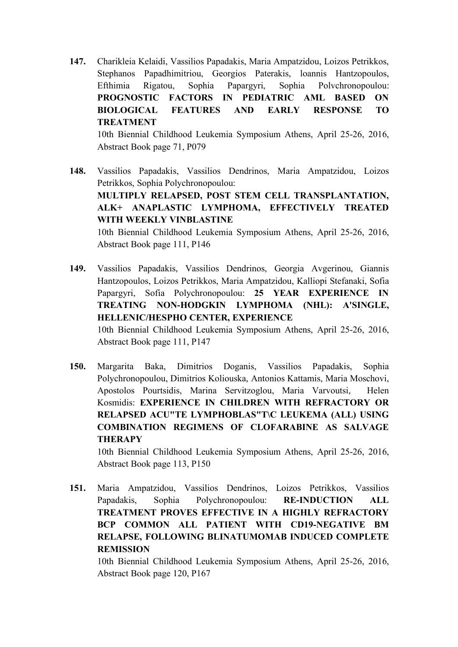**147.** Charikleia Kelaidi, Vassilios Papadakis, Maria Ampatzidou, Loizos Petrikkos, Stephanos Papadhimitriou, Georgios Paterakis, loannis Hantzopoulos, Efthimia Rigatou, Sophia Papargyri, Sophia Polvchronopoulou: **PROGNOSTIC FACTORS IN PEDIATRIC AML BASED ON BIOLOGICAL FEATURES AND EARLY RESPONSE TO TREATMENT**

10th Biennial Childhood Leukemia Symposium Athens, April 25-26, 2016, Abstract Book page 71, P079

- **148.** Vassilios Papadakis, Vassilios Dendrinos, Maria Ampatzidou, Loizos Petrikkos, Sophia Polychronopoulou: **ΜULTIPLY RELAPSED, POST STEM CELL TRANSPLANTATION, ALK+ ANAPLASTIC LYMPHOMA, EFFECTIVELY TREATED WITH WEEKLY VINBLASTINE** 10th Biennial Childhood Leukemia Symposium Athens, April 25-26, 2016, Abstract Book page 111, P146
- **149.** Vassilios Papadakis, Vassilios Dendrinos, Georgia Avgerinou, Giannis Hantzopoulos, Loizos Petrikkos, Maria Ampatzidou, Kalliopi Stefanaki, Sofia Papargyri, Sofia Polychronopoulou: **25 YEAR EXPERIENCE IN TREATING NON-HODGKIN LYMPHOMA (NHL): A'SINGLE, HELLENIC/HESPHO CENTER, EXPERIENCE** 10th Biennial Childhood Leukemia Symposium Athens, April 25-26, 2016,

Abstract Book page 111, P147

**150.** Margarita Baka, Dimitrios Doganis, Vassilios Papadakis, Sophia Polychronopoulou, Dimitrios Koliouska, Antonios Kattamis, Maria Moschovi, Apostolos Pourtsidis, Marina Servitzoglou, Maria Varvoutsi, Helen Kosmidis: **EXPERIENCE IN CHILDREN WITH REFRACTORY OR RELAPSED ACU"TE LYMPHOBLAS"T\C LEUKEMA (ALL) USING COMBINATION REGIMENS OF CLOFARABINE AS SALVAGE THERAPY**

10th Biennial Childhood Leukemia Symposium Athens, April 25-26, 2016, Abstract Book page 113, P150

**151.** Maria Ampatzidou, Vassilios Dendrinos, Loizos Petrikkos, Vassilios Papadakis, Sophia Polychronopoulou: **RE-INDUCTION ALL TREATMENT PROVES EFFECTIVE IN A HIGHLY REFRACTORY BCP COMMON ALL PATIENT WITH CD19-NEGATIVE BM RELAPSE, FOLLOWING BLINATUMOMAB INDUCED COMPLETE REMISSION**

10th Biennial Childhood Leukemia Symposium Athens, April 25-26, 2016, Abstract Book page 120, P167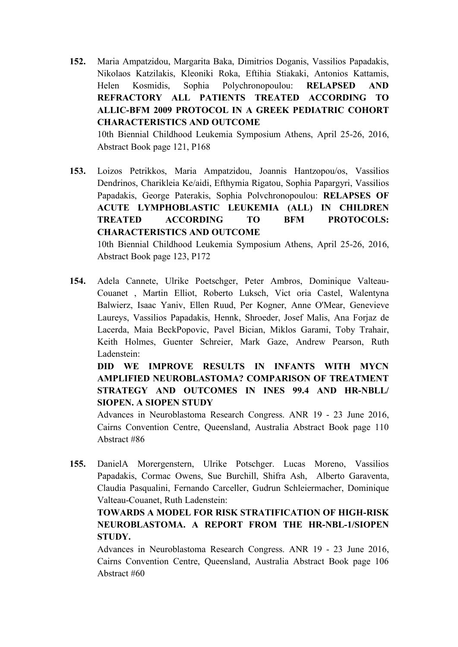**152.** Maria Ampatzidou, Margarita Baka, Dimitrios Doganis, Vassilios Papadakis, Nikolaos Katzilakis, Kleoniki Roka, Eftihia Stiakaki, Antonios Kattamis, Helen Kosmidis, Sophia Polychronopoulou: **RELAPSED AND REFRACTORY ALL PATIENTS TREATED ACCORDING TO ALLIC-BFM 2009 PROTOCOL IN A GREEK PEDIATRIC COHORT CHARACTERISTICS AND OUTCOME**

10th Biennial Childhood Leukemia Symposium Athens, April 25-26, 2016, Abstract Book page 121, P168

**153.** Loizos Petrikkos, Maria Ampatzidou, Joannis Hantzopou/os, Vassilios Dendrinos, Charikleia Ke/aidi, Efthymia Rigatou, Sophia Papargyri, Vassilios Papadakis, George Paterakis, Sophia Polvchronopoulou: **RELAPSES OF ACUTE LYMPHOBLASTIC LEUKEMIA (ALL) IN CHILDREN TREATED ACCORDING TO BFM PROTOCOLS: CHARACTERISTICS AND OUTCOME**

10th Biennial Childhood Leukemia Symposium Athens, April 25-26, 2016, Abstract Book page 123, P172

**154.** Adela Cannete, Ulrike Poetschger, Peter Ambros, Dominique Valteau-Couanet , Martin Elliot, Roberto Luksch, Vict oria Castel, Walentyna Balwierz, Isaac Yaniv, Ellen Ruud, Per Kogner, Anne O'Mear, Genevieve Laureys, Vassilios Papadakis, Hennk, Shroeder, Josef Malis, Ana Forjaz de Lacerda, Maia BeckPopovic, Pavel Bician, Miklos Garami, Toby Trahair, Keith Holmes, Guenter Schreier, Mark Gaze, Andrew Pearson, Ruth Ladenstein:

**DID WE IMPROVE RESULTS IN INFANTS WITH MYCN AMPLIFIED NEUROBLASTOMA? COMPARISON OF TREATMENT STRATEGY AND OUTCOMES IN INES 99.4 AND HR-NBLL/ SIOPEN. A SIOPEN STUDY**

Advances in Neuroblastoma Research Congress. ANR 19 - 23 June 2016, Cairns Convention Centre, Queensland, Australia Abstract Book page 110 Abstract #86

**155.** DanielA Morergenstern, Ulrike Potschger. Lucas Moreno, Vassilios Papadakis, Cormac Owens, Sue Burchill, Shifra Ash, Alberto Garaventa, Claudia Pasqualini, Fernando Carceller, Gudrun Schleiermacher, Dominique Valteau-Couanet, Ruth Ladenstein:

**TOWARDS A MODEL FOR RISK STRATIFICATION OF HIGH-RISK NEUROBLASTOMA. A REPORT FROM THE HR-NBL-1/SIOPEN STUDY.**

Advances in Neuroblastoma Research Congress. ANR 19 - 23 June 2016, Cairns Convention Centre, Queensland, Australia Abstract Book page 106 Abstract #60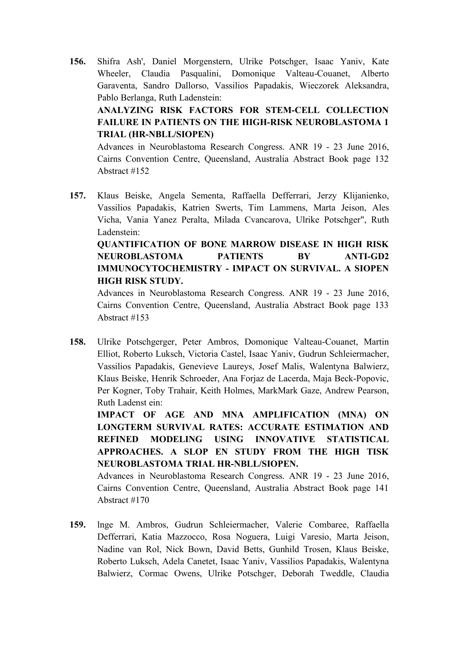- **156.** Shifra Ash', Daniel Morgenstern, Ulrike Potschger, Isaac Yaniv, Kate Wheeler, Claudia Pasqualini, Domonique Valteau-Couanet, Alberto Garaventa, Sandro Dallorso, Vassilios Papadakis, Wieczorek Aleksandra, Pablo Berlanga, Ruth Ladenstein: **ANALYZING RISK FACTORS FOR STEM-CELL COLLECTION FAILURE IN PATIENTS ON THE HIGH-RISK NEUROBLASTOMA 1 TRIAL (HR-NBLL/SIOPEN)** Advances in Neuroblastoma Research Congress. ANR 19 - 23 June 2016, Cairns Convention Centre, Queensland, Australia Abstract Book page 132 Abstract #152
- **157.** Klaus Beiske, Angela Sementa, Raffaella Defferrari, Jerzy Klijanienko, Vassilios Papadakis, Katrien Swerts, Tim Lammens, Marta Jeison, Ales Vicha, Vania Yanez Peralta, Milada Cvancarova, Ulrike Potschger", Ruth Ladenstein:

#### **QUANTIFICATION OF BONE MARROW DISEASE IN HIGH RISK NEUROBLASTOMA PATIENTS BY ANTI-GD2 IMMUNOCYTOCHEMISTRY - IMPACT ON SURVIVAL. A SIOPEN HIGH RISK STUDY.**

Advances in Neuroblastoma Research Congress. ANR 19 - 23 June 2016, Cairns Convention Centre, Queensland, Australia Abstract Book page 133 Abstract #153

**158.** Ulrike Potschgerger, Peter Ambros, Domonique Valteau-Couanet, Martin Elliot, Roberto Luksch, Victoria Castel, Isaac Yaniv, Gudrun Schleiermacher, Vassilios Papadakis, Genevieve Laureys, Josef Malis, Walentyna Balwierz, Klaus Beiske, Henrik Schroeder, Ana Forjaz de Lacerda, Maja Beck-Popovic, Per Kogner, Toby Trahair, Keith Holmes, MarkMark Gaze, Andrew Pearson, Ruth Ladenst ein:

**IMPACT OF AGE AND MNA AMPLIFICATION (MNA) ON LONGTERM SURVIVAL RATES: ACCURATE ESTIMATION AND REFINED MODELING USING INNOVATIVE STATISTICAL APPROACHES. A SLOP EN STUDY FROM THE HIGH TISK NEUROBLASTOMA TRIAL HR-NBLL/SIOPEN.**

Advances in Neuroblastoma Research Congress. ANR 19 - 23 June 2016, Cairns Convention Centre, Queensland, Australia Abstract Book page 141 Abstract #170

**159.** lnge M. Ambros, Gudrun Schleiermacher, Valerie Combaree, Raffaella Defferrari, Katia Mazzocco, Rosa Noguera, Luigi Varesio, Marta Jeison, Nadine van Rol, Nick Bown, David Betts, Gunhild Trosen, Klaus Beiske, Roberto Luksch, Adela Canetet, Isaac Yaniv, Vassilios Papadakis, Walentyna Balwierz, Cormac Owens, Ulrike Potschger, Deborah Tweddle, Claudia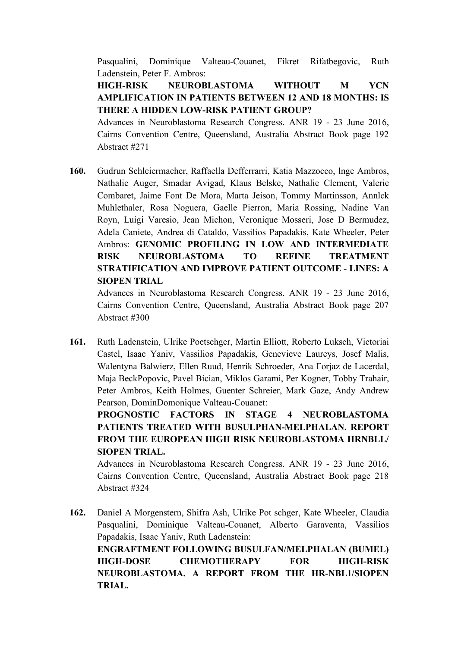Pasqualini, Dominique Valteau-Couanet, Fikret Rifatbegovic, Ruth Ladenstein, Peter F. Ambros:

#### **HIGH-RISK NEUROBLASTOMA WITHOUT M YCN AMPLIFICATION IN PATIENTS BETWEEN 12 AND 18 MONTHS: IS THERE A HIDDEN LOW-RISK PATIENT GROUP?**

Advances in Neuroblastoma Research Congress. ANR 19 - 23 June 2016, Cairns Convention Centre, Queensland, Australia Abstract Book page 192 Abstract #271

**160.** Gudrun Schleiermacher, Raffaella Defferrarri, Katia Mazzocco, lnge Ambros, Nathalie Auger, Smadar Avigad, Klaus Belske, Nathalie Clement, Valerie Combaret, Jaime Font De Mora, Marta Jeison, Tommy Martinsson, Annlck Muhlethaler, Rosa Noguera, Gaelle Pierron, Maria Rossing, Nadine Van Royn, Luigi Varesio, Jean Michon, Veronique Mosseri, Jose D Bermudez, Adela Caniete, Andrea di Cataldo, Vassilios Papadakis, Kate Wheeler, Peter Ambros: **GENOMIC PROFILING IN LOW AND INTERMEDIATE RISK NEUROBLASTOMA TO REFINE TREATMENT STRATIFICATION AND IMPROVE PATIENT OUTCOME - LINES: A SIOPEN TRIAL**

Advances in Neuroblastoma Research Congress. ANR 19 - 23 June 2016, Cairns Convention Centre, Queensland, Australia Abstract Book page 207 Abstract #300

**161.** Ruth Ladenstein, Ulrike Poetschger, Martin Elliott, Roberto Luksch, Victoriai Castel, Isaac Yaniv, Vassilios Papadakis, Genevieve Laureys, Josef Malis, Walentyna Balwierz, Ellen Ruud, Henrik Schroeder, Ana Forjaz de Lacerdal, Maja BeckPopovic, Pavel Bician, Miklos Garami, Per Kogner, Tobby Trahair, Peter Ambros, Keith Holmes, Guenter Schreier, Mark Gaze, Andy Andrew Pearson, DominDomonique Valteau-Couanet:

**PROGNOSTIC FACTORS IN STAGE 4 NEUROBLASTOMA PATIENTS TREATED WITH BUSULPHAN-MELPHALAN. REPORT FROM THE EUROPEAN HIGH RISK NEUROBLASTOMA HRNBLL/ SIOPEN TRIAL.**

Advances in Neuroblastoma Research Congress. ANR 19 - 23 June 2016, Cairns Convention Centre, Queensland, Australia Abstract Book page 218 Abstract #324

**162.** Daniel A Morgenstern, Shifra Ash, Ulrike Pot schger, Kate Wheeler, Claudia Pasqualini, Dominique Valteau-Couanet, Alberto Garaventa, Vassilios Papadakis, Isaac Yaniv, Ruth Ladenstein: **ENGRAFTMENT FOLLOWING BUSULFAN/MELPHALAN (BUMEL) HIGH-DOSE CHEMOTHERAPY FOR HIGH-RISK NEUROBLASTOMA. A REPORT FROM THE HR-NBL1/SIOPEN TRIAL.**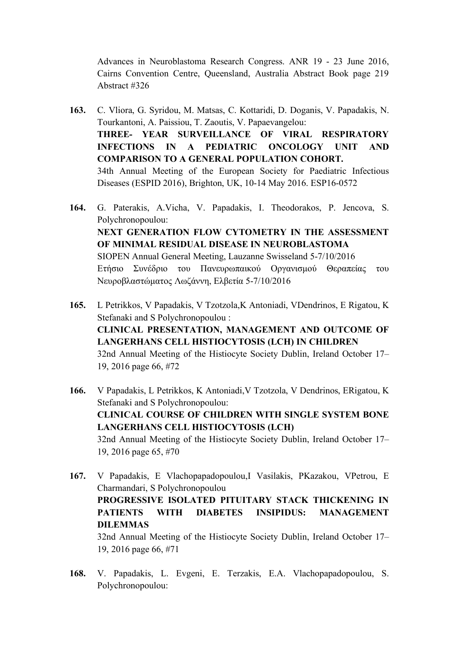Advances in Neuroblastoma Research Congress. ANR 19 - 23 June 2016, Cairns Convention Centre, Queensland, Australia Abstract Book page 219 Abstract #326

- **163.** C. Vliora, G. Syridou, M. Matsas, C. Kottaridi, D. Doganis, V. Papadakis, N. Tourkantoni, A. Paissiou, T. Zaoutis, V. Papaevangelou: **THREE- YEAR SURVEILLANCE OF VIRAL RESPIRATORY INFECTIONS IN A PEDIATRIC ONCOLOGY UNIT AND COMPARISON TO A GENERAL POPULATION COHORT.** 34th Annual Meeting of the European Society for Paediatric Infectious Diseases (ESPID 2016), Brighton, UK, 10-14 May 2016. ESP16-0572
- **164.** G. Paterakis, A.Vicha, V. Papadakis, I. Theodorakos, P. Jencova, S. Polychronopoulou: **NEXT GENERATION FLOW CYTOMETRY IN THE ASSESSMENT OF MINIMAL RESIDUAL DISEASE IN NEUROBLASTOMA** SIOPEN Annual General Meeting, Lauzanne Swisseland 5-7/10/2016 Ετήσιο Συνέδριο του Πανευρωπαικού Οργανισµού Θεραπείας του Νευροβλαστώµατος Λωζάννη, Ελβετία 5-7/10/2016
- **165.** L Petrikkos, V Papadakis, V Tzotzola,K Antoniadi, VDendrinos, E Rigatou, K Stefanaki and S Polychronopoulou : **CLINICAL PRESENTATION, MANAGEMENT AND OUTCOME OF LANGERHANS CELL HISTIOCYTOSIS (LCH) IN CHILDREN**  32nd Annual Meeting of the Histiocyte Society Dublin, Ireland October 17– 19, 2016 page 66, #72
- **166.** V Papadakis, L Petrikkos, K Antoniadi,V Tzotzola, V Dendrinos, ERigatou, K Stefanaki and S Polychronopoulou: **CLINICAL COURSE OF CHILDREN WITH SINGLE SYSTEM BONE LANGERHANS CELL HISTIOCYTOSIS (LCH)**  32nd Annual Meeting of the Histiocyte Society Dublin, Ireland October 17– 19, 2016 page 65, #70
- **167.** V Papadakis, E Vlachopapadopoulou,I Vasilakis, PKazakou, VPetrou, E Charmandari, S Polychronopoulou **PROGRESSIVE ISOLATED PITUITARY STACK THICKENING IN PATIENTS WITH DIABETES INSIPIDUS: MANAGEMENT DILEMMAS**  32nd Annual Meeting of the Histiocyte Society Dublin, Ireland October 17– 19, 2016 page 66, #71
- **168.** V. Papadakis, L. Evgeni, E. Terzakis, E.A. Vlachopapadopoulou, S. Polychronopoulou: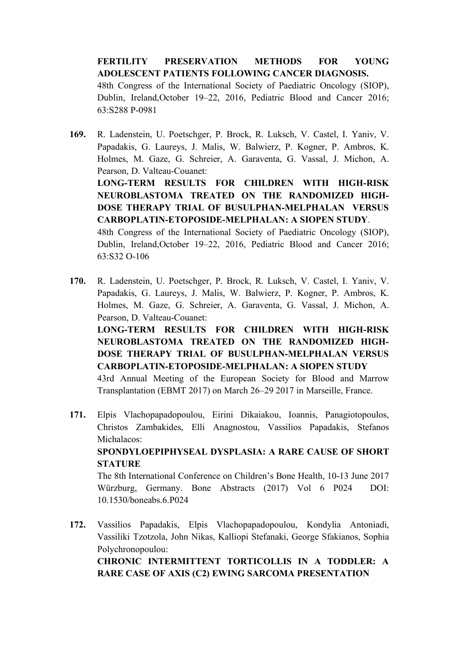**FERTILITY PRESERVATION METHODS FOR YOUNG ADOLESCENT PATIENTS FOLLOWING CANCER DIAGNOSIS.** 48th Congress of the International Society of Paediatric Oncology (SIOP), Dublin, Ireland,October 19–22, 2016, Pediatric Blood and Cancer 2016; 63:S288 P-0981

- **169.** R. Ladenstein, U. Poetschger, P. Brock, R. Luksch, V. Castel, I. Yaniv, V. Papadakis, G. Laureys, J. Malis, W. Balwierz, P. Kogner, P. Ambros, K. Holmes, M. Gaze, G. Schreier, A. Garaventa, G. Vassal, J. Michon, A. Pearson, D. Valteau-Couanet: **LONG-TERM RESULTS FOR CHILDREN WITH HIGH-RISK NEUROBLASTOMA TREATED ON THE RANDOMIZED HIGH-DOSE THERAPY TRIAL OF BUSULPHAN-MELPHALAN VERSUS CARBOPLATIN-ETOPOSIDE-MELPHALAN: A SIOPEN STUDY**. 48th Congress of the International Society of Paediatric Oncology (SIOP), Dublin, Ireland,October 19–22, 2016, Pediatric Blood and Cancer 2016; 63:S32 O-106
- **170.** R. Ladenstein, U. Poetschger, P. Brock, R. Luksch, V. Castel, I. Yaniv, V. Papadakis, G. Laureys, J. Malis, W. Balwierz, P. Kogner, P. Ambros, K. Holmes, M. Gaze, G. Schreier, A. Garaventa, G. Vassal, J. Michon, A. Pearson, D. Valteau-Couanet:

**LONG-TERM RESULTS FOR CHILDREN WITH HIGH-RISK NEUROBLASTOMA TREATED ON THE RANDOMIZED HIGH-DOSE THERAPY TRIAL OF BUSULPHAN-MELPHALAN VERSUS CARBOPLATIN-ETOPOSIDE-MELPHALAN: A SIOPEN STUDY** 

43rd Annual Meeting of the European Society for Blood and Marrow Transplantation (EBMT 2017) on March 26–29 2017 in Marseille, France.

**171.** Elpis Vlachopapadopoulou, Eirini Dikaiakou, Ioannis, Panagiotopoulos, Christos Zambakides, Elli Anagnostou, Vassilios Papadakis, Stefanos Michalacos: **SPONDYLOEPIPHYSEAL DYSPLASIA: A RARE CAUSE OF SHORT** 

**STATURE** The 8th International Conference on Children's Bone Health, 10-13 June 2017 Würzburg, Germany. Bone Abstracts (2017) Vol 6 P024 DOI: 10.1530/boneabs.6.P024

**172.** Vassilios Papadakis, Elpis Vlachopapadopoulou, Kondylia Antoniadi, Vassiliki Tzotzola, John Nikas, Kalliopi Stefanaki, George Sfakianos, Sophia Polychronopoulou: **CHRONIC INTERMITTENT TORTICOLLIS IN A TODDLER: A RARE CASE OF AXIS (C2) EWING SARCOMA PRESENTATION**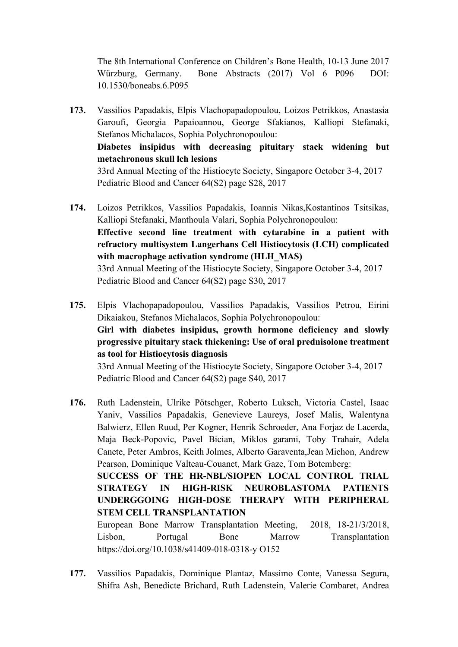The 8th International Conference on Children's Bone Health, 10-13 June 2017 Würzburg, Germany. Bone Abstracts (2017) Vol 6 P096 DOI: 10.1530/boneabs.6.P095

- **173.** Vassilios Papadakis, Elpis Vlachopapadopoulou, Loizos Petrikkos, Anastasia Garoufi, Georgia Papaioannou, George Sfakianos, Kalliopi Stefanaki, Stefanos Michalacos, Sophia Polychronopoulou: **Diabetes insipidus with decreasing pituitary stack widening but metachronous skull lch lesions** 33rd Annual Meeting of the Histiocyte Society, Singapore October 3-4, 2017 Pediatric Blood and Cancer 64(S2) page S28, 2017
- **174.** Loizos Petrikkos, Vassilios Papadakis, Ioannis Nikas,Kostantinos Tsitsikas, Kalliopi Stefanaki, Manthoula Valari, Sophia Polychronopoulou: **Effective second line treatment with cytarabine in a patient with refractory multisystem Langerhans Cell Histiocytosis (LCH) complicated with macrophage activation syndrome (HLH\_MAS)** 33rd Annual Meeting of the Histiocyte Society, Singapore October 3-4, 2017

Pediatric Blood and Cancer 64(S2) page S30, 2017

**175.** Elpis Vlachopapadopoulou, Vassilios Papadakis, Vassilios Petrou, Eirini Dikaiakou, Stefanos Michalacos, Sophia Polychronopoulou: **Girl with diabetes insipidus, growth hormone deficiency and slowly progressive pituitary stack thickening: Use of oral prednisolone treatment as tool for Histiocytosis diagnosis** 33rd Annual Meeting of the Histiocyte Society, Singapore October 3-4, 2017

Pediatric Blood and Cancer 64(S2) page S40, 2017

**176.** Ruth Ladenstein, Ulrike Pötschger, Roberto Luksch, Victoria Castel, Isaac Yaniv, Vassilios Papadakis, Genevieve Laureys, Josef Malis, Walentyna Balwierz, Ellen Ruud, Per Kogner, Henrik Schroeder, Ana Forjaz de Lacerda, Maja Beck-Popovic, Pavel Bician, Miklos garami, Toby Trahair, Adela Canete, Peter Ambros, Keith Jolmes, Alberto Garaventa,Jean Michon, Andrew Pearson, Dominique Valteau-Couanet, Mark Gaze, Tom Botemberg: **SUCCESS OF THE HR-NBL/SIOPEN LOCAL CONTROL TRIAL STRATEGY IN HIGH-RISK NEUROBLASTOMA PATIENTS UNDERGGOING HIGH-DOSE THERAPY WITH PERIPHERAL** 

European Bone Marrow Transplantation Meeting, 2018, 18-21/3/2018, Lisbon, Portugal Bone Marrow Transplantation https://doi.org/10.1038/s41409-018-0318-y O152

**177.** Vassilios Papadakis, Dominique Plantaz, Massimo Conte, Vanessa Segura, Shifra Ash, Benedicte Brichard, Ruth Ladenstein, Valerie Combaret, Andrea

**STEM CELL TRANSPLANTATION**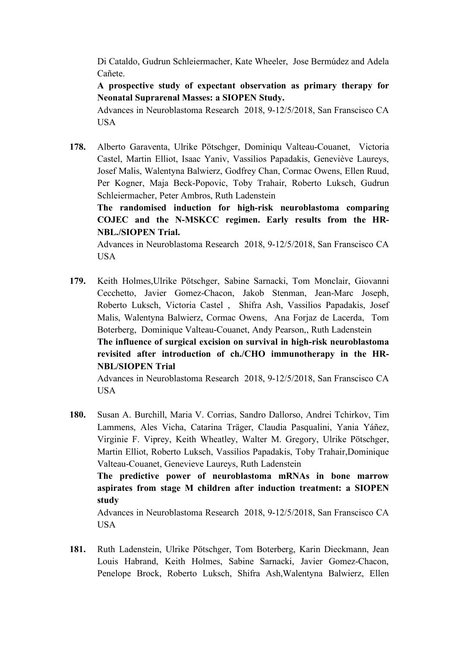Di Cataldo, Gudrun Schleiermacher, Kate Wheeler, Jose Bermúdez and Adela Cañete.

**A prospective study of expectant observation as primary therapy for Neonatal Suprarenal Masses: a SIOPEN Study.**

Advances in Neuroblastoma Research 2018, 9-12/5/2018, San Franscisco CA USA

**178.** Alberto Garaventa, Ulrike Pötschger, Dominiqu Valteau-Couanet, Victoria Castel, Martin Elliot, Isaac Yaniv, Vassilios Papadakis, Geneviève Laureys, Josef Malis, Walentyna Balwierz, Godfrey Chan, Cormac Owens, Ellen Ruud, Per Kogner, Maja Beck-Popovic, Toby Trahair, Roberto Luksch, Gudrun Schleiermacher, Peter Ambros, Ruth Ladenstein

**The randomised induction for high-risk neuroblastoma comparing COJEC and the N-MSKCC regimen. Early results from the HR-NBL./SIOPEN Trial.**

Advances in Neuroblastoma Research 2018, 9-12/5/2018, San Franscisco CA USA

**179.** Keith Holmes,Ulrike Pötschger, Sabine Sarnacki, Tom Monclair, Giovanni Cecchetto, Javier Gomez-Chacon, Jakob Stenman, Jean-Marc Joseph, Roberto Luksch, Victoria Castel , Shifra Ash, Vassilios Papadakis, Josef Malis, Walentyna Balwierz, Cormac Owens, Ana Forjaz de Lacerda, Tom Boterberg, Dominique Valteau-Couanet, Andy Pearson,, Ruth Ladenstein **The influence of surgical excision on survival in high-risk neuroblastoma revisited after introduction of ch./CHO immunotherapy in the HR-NBL/SIOPEN Trial**

Advances in Neuroblastoma Research 2018, 9-12/5/2018, San Franscisco CA USA

**180.** Susan A. Burchill, Maria V. Corrias, Sandro Dallorso, Andrei Tchirkov, Tim Lammens, Ales Vicha, Catarina Träger, Claudia Pasqualini, Yania Yáñez, Virginie F. Viprey, Keith Wheatley, Walter M. Gregory, Ulrike Pötschger, Martin Elliot, Roberto Luksch, Vassilios Papadakis, Toby Trahair,Dominique Valteau-Couanet, Genevieve Laureys, Ruth Ladenstein **The predictive power of neuroblastoma mRNAs in bone marrow** 

**aspirates from stage M children after induction treatment: a SIOPEN study**

Advances in Neuroblastoma Research 2018, 9-12/5/2018, San Franscisco CA USA

**181.** Ruth Ladenstein, Ulrike Pötschger, Tom Boterberg, Karin Dieckmann, Jean Louis Habrand, Keith Holmes, Sabine Sarnacki, Javier Gomez-Chacon, Penelope Brock, Roberto Luksch, Shifra Ash,Walentyna Balwierz, Ellen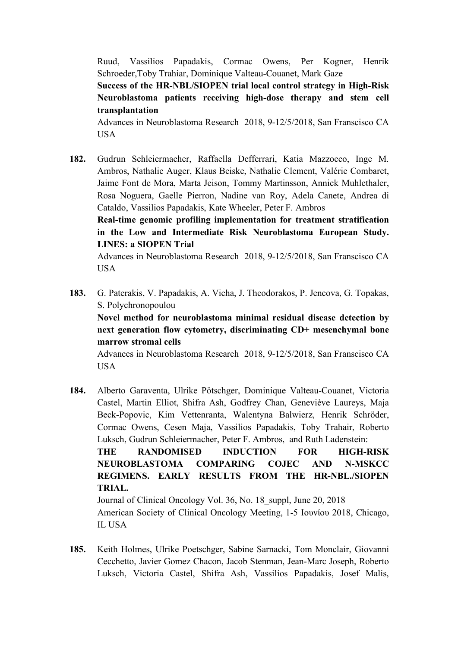Ruud, Vassilios Papadakis, Cormac Owens, Per Kogner, Henrik Schroeder,Toby Trahiar, Dominique Valteau-Couanet, Mark Gaze

**Success of the HR-NBL/SIOPEN trial local control strategy in High-Risk Neuroblastoma patients receiving high-dose therapy and stem cell transplantation**

Advances in Neuroblastoma Research 2018, 9-12/5/2018, San Franscisco CA USA

**182.** Gudrun Schleiermacher, Raffaella Defferrari, Katia Mazzocco, Inge M. Ambros, Nathalie Auger, Klaus Beiske, Nathalie Clement, Valérie Combaret, Jaime Font de Mora, Marta Jeison, Tommy Martinsson, Annick Muhlethaler, Rosa Noguera, Gaelle Pierron, Nadine van Roy, Adela Canete, Andrea di Cataldo, Vassilios Papadakis, Kate Wheeler, Peter F. Ambros

**Real-time genomic profiling implementation for treatment stratification in the Low and Intermediate Risk Neuroblastoma European Study. LINES: a SIOPEN Trial**

Advances in Neuroblastoma Research 2018, 9-12/5/2018, San Franscisco CA USA

**183.** G. Paterakis, V. Papadakis, A. Vicha, J. Theodorakos, P. Jencova, G. Topakas, S. Polychronopoulou

**Novel method for neuroblastoma minimal residual disease detection by next generation flow cytometry, discriminating CD+ mesenchymal bone marrow stromal cells**

Advances in Neuroblastoma Research 2018, 9-12/5/2018, San Franscisco CA USA

**184.** Alberto Garaventa, Ulrike Pötschger, Dominique Valteau-Couanet, Victoria Castel, Martin Elliot, Shifra Ash, Godfrey Chan, Geneviève Laureys, Maja Beck-Popovic, Kim Vettenranta, Walentyna Balwierz, Henrik Schröder, Cormac Owens, Cesen Maja, Vassilios Papadakis, Toby Trahair, Roberto Luksch, Gudrun Schleiermacher, Peter F. Ambros, and Ruth Ladenstein: **THE RANDOMISED INDUCTION FOR HIGH-RISK NEUROBLASTOMA COMPARING COJEC AND N-MSKCC REGIMENS. EARLY RESULTS FROM THE HR-NBL./SIOPEN TRIAL.** Journal of Clinical Oncology Vol. 36, No. 18\_suppl, June 20, 2018

American Society of Clinical Oncology Meeting, 1-5 Ιουνίου 2018, Chicago, IL USA

**185.** Keith Holmes, Ulrike Poetschger, Sabine Sarnacki, Tom Monclair, Giovanni Cecchetto, Javier Gomez Chacon, Jacob Stenman, Jean-Marc Joseph, Roberto Luksch, Victoria Castel, Shifra Ash, Vassilios Papadakis, Josef Malis,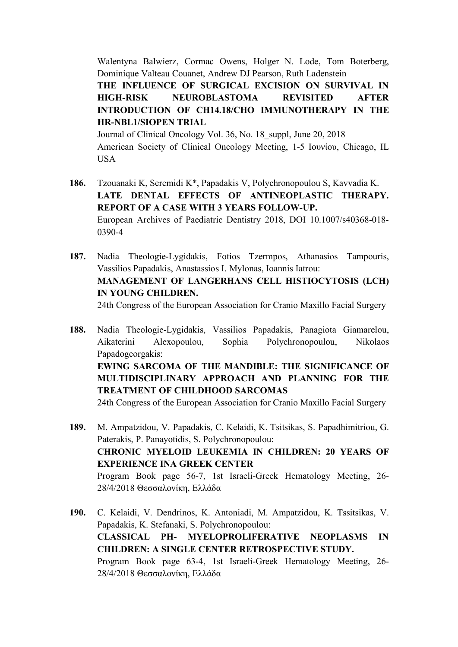Walentyna Balwierz, Cormac Owens, Holger N. Lode, Tom Boterberg, Dominique Valteau Couanet, Andrew DJ Pearson, Ruth Ladenstein

**THE INFLUENCE OF SURGICAL EXCISION ON SURVIVAL IN HIGH-RISK NEUROBLASTOMA REVISITED AFTER INTRODUCTION OF CH14.18/CHO IMMUNOTHERAPY IN THE HR-NBL1/SIOPEN TRIAL**

Journal of Clinical Oncology Vol. 36, No. 18 suppl, June 20, 2018 American Society of Clinical Oncology Meeting, 1-5 Ιουνίου, Chicago, IL USA

- **186.** Tzouanaki K, Seremidi K\*, Papadakis V, Polychronopoulou S, Kavvadia K. LATE DENTAL EFFECTS OF ANTINEOPLASTIC THERAPY. **REPORT OF A CASE WITH 3 YEARS FOLLOW-UP.**  European Archives of Paediatric Dentistry 2018, DOI 10.1007/s40368-018- 0390-4
- **187.** Nadia Theologie-Lygidakis, Fotios Tzermpos, Athanasios Tampouris, Vassilios Papadakis, Anastassios I. Mylonas, Ioannis Iatrou: **MANAGEMENT OF LANGERHANS CELL HISTIOCYTOSIS (LCH) IN YOUNG CHILDREN.**  24th Congress of the European Association for Cranio Maxillo Facial Surgery
- **188.** Nadia Theologie-Lygidakis, Vassilios Papadakis, Panagiota Giamarelou, Aikaterini Alexopoulou, Sophia Polychronopoulou, Nikolaos Papadogeorgakis: **EWING SARCOMA OF THE MANDIBLE: THE SIGNIFICANCE OF MULTIDISCIPLINARY APPROACH AND PLANNING FOR THE TREATMENT OF CHILDHOOD SARCOMAS**

24th Congress of the European Association for Cranio Maxillo Facial Surgery

- **189.** M. Ampatzidou, V. Papadakis, C. Kelaidi, K. Tsitsikas, S. Papadhimitriou, G. Paterakis, P. Panayotidis, S. Polychronopoulou: **CHRONIC MYELOID LEUKEMIA IN CHILDREN: 20 YEARS OF EXPERIENCE INA GREEK CENTER** Program Book page 56-7, 1st Israeli-Greek Hematology Meeting, 26- 28/4/2018 Θεσσαλονίκη, Ελλάδα
- **190.** C. Kelaidi, V. Dendrinos, K. Antoniadi, M. Ampatzidou, K. Tssitsikas, V. Papadakis, K. Stefanaki, S. Polychronopoulou: **CLASSICAL PH- MYELOPROLIFERATIVE NEOPLASMS IN CHILDREN: A SINGLE CENTER RETROSPECTIVE STUDY.** Program Book page 63-4, 1st Israeli-Greek Hematology Meeting, 26- 28/4/2018 Θεσσαλονίκη, Ελλάδα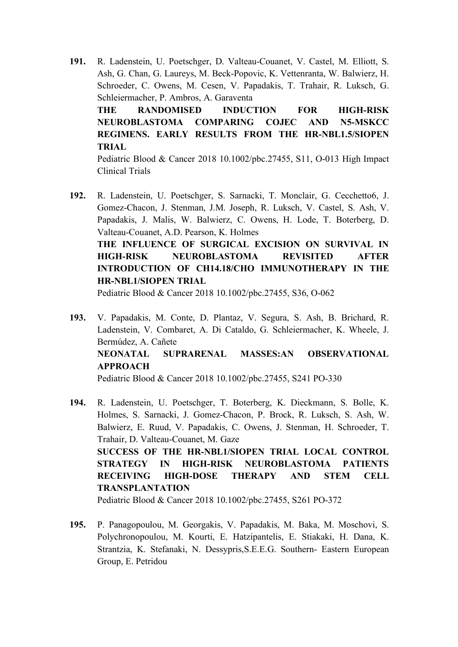- **191.** R. Ladenstein, U. Poetschger, D. Valteau-Couanet, V. Castel, M. Elliott, S. Ash, G. Chan, G. Laureys, M. Beck-Popovic, K. Vettenranta, W. Balwierz, H. Schroeder, C. Owens, M. Cesen, V. Papadakis, T. Trahair, R. Luksch, G. Schleiermacher, P. Ambros, A. Garaventa **THE RANDOMISED INDUCTION FOR HIGH-RISK NEUROBLASTOMA COMPARING COJEC AND N5-MSKCC REGIMENS. EARLY RESULTS FROM THE HR-NBL1.5/SIOPEN TRIAL** Pediatric Blood & Cancer 2018 10.1002/pbc.27455, S11, O-013 High Impact
- **192.** R. Ladenstein, U. Poetschger, S. Sarnacki, T. Monclair, G. Cecchetto6, J. Gomez-Chacon, J. Stenman, J.M. Joseph, R. Luksch, V. Castel, S. Ash, V. Papadakis, J. Malis, W. Balwierz, C. Owens, H. Lode, T. Boterberg, D. Valteau-Couanet, A.D. Pearson, K. Holmes **THE INFLUENCE OF SURGICAL EXCISION ON SURVIVAL IN HIGH-RISK NEUROBLASTOMA REVISITED AFTER INTRODUCTION OF CH14.18/CHO IMMUNOTHERAPY IN THE HR-NBL1/SIOPEN TRIAL**

Pediatric Blood & Cancer 2018 10.1002/pbc.27455, S36, O-062

Clinical Trials

**193.** V. Papadakis, M. Conte, D. Plantaz, V. Segura, S. Ash, B. Brichard, R. Ladenstein, V. Combaret, A. Di Cataldo, G. Schleiermacher, K. Wheele, J. Bermúdez, A. Cañete **NEONATAL SUPRARENAL MASSES:AN OBSERVATIONAL APPROACH**

Pediatric Blood & Cancer 2018 10.1002/pbc.27455, S241 PO-330

**194.** R. Ladenstein, U. Poetschger, T. Boterberg, K. Dieckmann, S. Bolle, K. Holmes, S. Sarnacki, J. Gomez-Chacon, P. Brock, R. Luksch, S. Ash, W. Balwierz, E. Ruud, V. Papadakis, C. Owens, J. Stenman, H. Schroeder, T. Trahair, D. Valteau-Couanet, M. Gaze **SUCCESS OF THE HR-NBL1/SIOPEN TRIAL LOCAL CONTROL STRATEGY IN HIGH-RISK NEUROBLASTOMA PATIENTS RECEIVING HIGH-DOSE THERAPY AND STEM CELL TRANSPLANTATION**

Pediatric Blood & Cancer 2018 10.1002/pbc.27455, S261 PO-372

**195.** P. Panagopoulou, M. Georgakis, V. Papadakis, M. Baka, M. Moschovi, S. Polychronopoulou, M. Kourti, E. Hatzipantelis, E. Stiakaki, H. Dana, K. Strantzia, K. Stefanaki, N. Dessypris,S.E.E.G. Southern- Eastern European Group, E. Petridou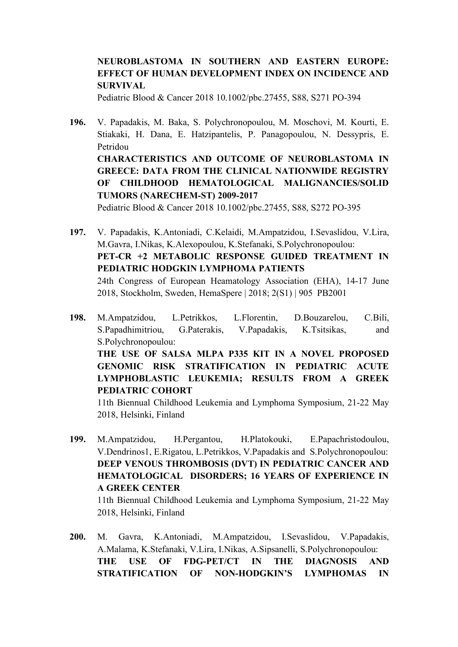#### **NEUROBLASTOMA IN SOUTHERN AND EASTERN EUROPE: EFFECT OF HUMAN DEVELOPMENT INDEX ON INCIDENCE AND SURVIVAL**

Pediatric Blood & Cancer 2018 10.1002/pbc.27455, S88, S271 PO-394

- **196.** V. Papadakis, M. Baka, S. Polychronopoulou, M. Moschovi, M. Kourti, E. Stiakaki, H. Dana, E. Hatzipantelis, P. Panagopoulou, N. Dessypris, E. Petridou **CHARACTERISTICS AND OUTCOME OF NEUROBLASTOMA IN GREECE: DATA FROM THE CLINICAL NATIONWIDE REGISTRY OF CHILDHOOD HEMATOLOGICAL MALIGNANCIES/SOLID TUMORS (NARECHEM-ST) 2009-2017** Pediatric Blood & Cancer 2018 10.1002/pbc.27455, S88, S272 PO-395
- **197.** V. Papadakis, K.Antoniadi, C.Kelaidi, M.Ampatzidou, I.Sevaslidou, V.Lira, M.Gavra, I.Nikas, K.Alexopoulou, K.Stefanaki, S.Polychronopoulou: **PET-CR +2 METABOLIC RESPONSE GUIDED TREATMENT IN PEDIATRIC HODGKIN LYMPHOMA PATIENTS** 24th Congress of European Heamatology Association (EHA), 14-17 June 2018, Stockholm, Sweden, HemaSpere | 2018; 2(S1) | 905 PB2001
- **198.** Μ.Αmpatzidou, L.Petrikkos, L.Florentin, D.Bouzarelou, C.Bili, S.Papadhimitriou, G.Paterakis, V.Papadakis, K.Tsitsikas, and S.Polychronopoulou: **THE USE OF SALSA MLPA P335 KIT IN A NOVEL PROPOSED GENOMIC RISK STRATIFICATION IN PEDIATRIC ACUTE LYMPHOBLASTIC LEUKEMIA; RESULTS FROM A GREEK PEDIATRIC COHORT**

11th Biennual Childhood Leukemia and Lymphoma Symposium, 21-22 May 2018, Helsinki, Finland

**199.** Μ.Αmpatzidou, H.Pergantou, H.Platokouki, E.Papachristodoulou, V.Dendrinos1, Ε.Rigatou, L.Petrikkos, V.Papadakis and S.Polychronopoulou: **DEEP VENOUS THROMBOSIS (DVT) IN PEDIATRIC CANCER AND HEMATOLOGICAL DISORDERS; 16 YEARS OF EXPERIENCE IN A GREEK CENTER**

11th Biennual Childhood Leukemia and Lymphoma Symposium, 21-22 May 2018, Helsinki, Finland

**200.** M. Gavra, K.Antoniadi, M.Ampatzidou, I.Sevaslidou, V.Papadakis, A.Malama, K.Stefanaki, V.Lira, I.Nikas, A.Sipsanelli, S.Polychronopoulou: **THE USE OF FDG-PET/CT IN THE DIAGNOSIS AND STRATIFICATION OF NON-HODGKIN'S LYMPHOMAS IN**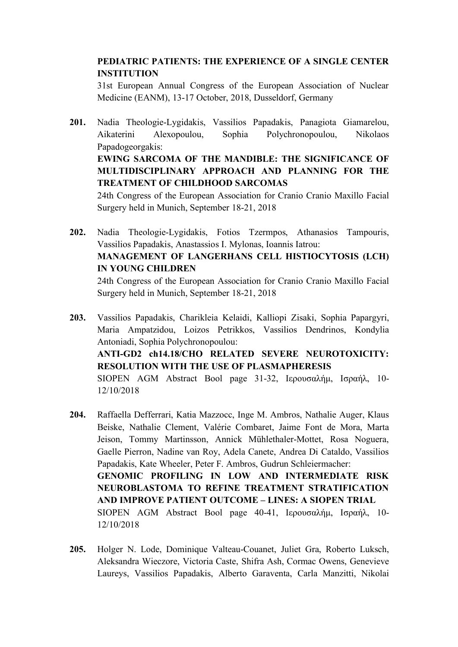#### **PEDIATRIC PATIENTS: THE EXPERIENCE OF A SINGLE CENTER INSTITUTION**

31st European Annual Congress of the European Association of Nuclear Medicine (EANM), 13-17 October, 2018, Dusseldorf, Germany

- **201.** Nadia Theologie-Lygidakis, Vassilios Papadakis, Panagiota Giamarelou, Aikaterini Alexopoulou, Sophia Polychronopoulou, Nikolaos Papadogeorgakis: **EWING SARCOMA OF THE MANDIBLE: THE SIGNIFICANCE OF MULTIDISCIPLINARY APPROACH AND PLANNING FOR THE TREATMENT OF CHILDHOOD SARCOMAS** 24th Congress of the European Association for Cranio Cranio Maxillo Facial Surgery held in Munich, September 18-21, 2018
- **202.** Nadia Theologie-Lygidakis, Fotios Tzermpos, Athanasios Tampouris, Vassilios Papadakis, Anastassios I. Mylonas, Ioannis Iatrou: **MANAGEMENT OF LANGERHANS CELL HISTIOCYTOSIS (LCH) IN YOUNG CHILDREN**

24th Congress of the European Association for Cranio Cranio Maxillo Facial Surgery held in Munich, September 18-21, 2018

- **203.** Vassilios Papadakis, Charikleia Kelaidi, Kalliopi Zisaki, Sophia Papargyri, Maria Ampatzidou, Loizos Petrikkos, Vassilios Dendrinos, Kondylia Antoniadi, Sophia Polychronopoulou: **ANTI-GD2 ch14.18/CHO RELATED SEVERE NEUROTOXICITY: RESOLUTION WITH THE USE OF PLASMAPHERESIS** SIOPEN AGM Abstract Bool page 31-32, Ιερουσαλήµ, Ισραήλ, 10- 12/10/2018
- **204.** Raffaella Defferrari, Katia Mazzocc, Inge M. Ambros, Nathalie Auger, Klaus Beiske, Nathalie Clement, Valérie Combaret, Jaime Font de Mora, Marta Jeison, Tommy Martinsson, Annick Mühlethaler-Mottet, Rosa Noguera, Gaelle Pierron, Nadine van Roy, Adela Canete, Andrea Di Cataldo, Vassilios Papadakis, Kate Wheeler, Peter F. Ambros, Gudrun Schleiermacher: **GENOMIC PROFILING IN LOW AND INTERMEDIATE RISK NEUROBLASTOMA TO REFINE TREATMENT STRATIFICATION AND IMPROVE PATIENT OUTCOME – LINES: A SIOPEN TRIAL** SIOPEN AGM Abstract Bool page 40-41, Ιερουσαλήµ, Ισραήλ, 10- 12/10/2018
- **205.** Holger N. Lode, Dominique Valteau-Couanet, Juliet Gra, Roberto Luksch, Aleksandra Wieczore, Victoria Caste, Shifra Ash, Cormac Owens, Genevieve Laureys, Vassilios Papadakis, Alberto Garaventa, Carla Manzitti, Nikolai